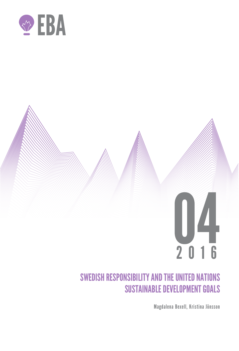

# 04 2016

# SWEDISH RESPONSIBILITY AND THE UNITED NATIONS SUSTAINABLE DEVELOPMENT GOALS

Magdalena Bexell, Kristina Jönsson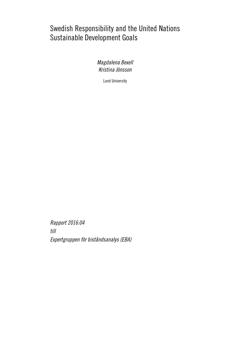# Swedish Responsibility and the United Nations Sustainable Development Goals

Magdalena Bexell Kristina Jönsson

Lund University

Rapport 2016:04 till Expertgruppen för biståndsanalys (EBA)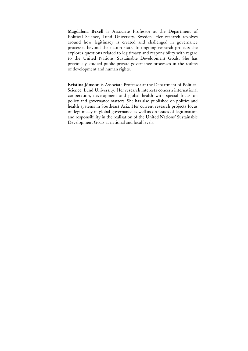**Magdalena Bexell** is Associate Professor at the Department of Political Science, Lund University, Sweden. Her research revolves around how legitimacy is created and challenged in governance processes beyond the nation state. In ongoing research projects she explores questions related to legitimacy and responsibility with regard to the United Nations' Sustainable Development Goals. She has previously studied public-private governance processes in the realms of development and human rights.

**Kristina Jönsson** is Associate Professor at the Department of Political Science, Lund University. Her research interests concern international cooperation, development and global health with special focus on policy and governance matters. She has also published on politics and health systems in Southeast Asia. Her current research projects focus on legitimacy in global governance as well as on issues of legitimation and responsibility in the realisation of the United Nations' Sustainable Development Goals at national and local levels.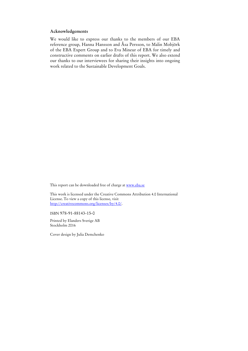## **Acknowledgements**

We would like to express our thanks to the members of our EBA reference group, Hanna Hansson and Åsa Persson, to Malin Mobjörk of the EBA Expert Group and to Eva Mineur of EBA for timely and constructive comments on earlier drafts of this report. We also extend our thanks to our interviewees for sharing their insights into ongoing work related to the Sustainable Development Goals.

This report can be downloaded free of charge at www.eba.se

This work is licensed under the Creative Commons Attribution 4.0 International License. To view a copy of this license, visit http://creativecommons.org/licenses/by/4.0/.

ISBN 978-91-88143-15-0

Printed by Elanders Sverige AB Stockholm 2016

Cover design by Julia Demchenko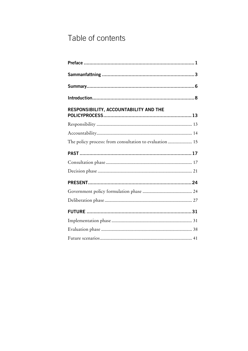# Table of contents

| RESPONSIBILITY, ACCOUNTABILITY AND THE                  |
|---------------------------------------------------------|
|                                                         |
|                                                         |
| The policy process: from consultation to evaluation  15 |
|                                                         |
|                                                         |
|                                                         |
|                                                         |
|                                                         |
|                                                         |
|                                                         |
|                                                         |
|                                                         |
|                                                         |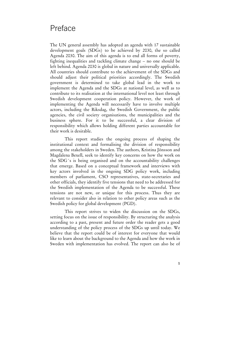# Preface

The UN general assembly has adopted an agenda with 17 sustainable development goals (SDGs) to be achieved by 2030, the so called Agenda 2030. The aim of this agenda is to end all forms of poverty, fighting inequalities and tackling climate change – no one should be left behind. Agenda 2030 is global in nature and universally applicable. All countries should contribute to the achievement of the SDGs and should adjust their political priorities accordingly. The Swedish government is determined to take global lead in the work to implement the Agenda and the SDGs at national level, as well as to contribute to its realisation at the international level not least through Swedish development cooperation policy. However, the work of implementing the Agenda will necessarily have to involve multiple actors, including the Riksdag, the Swedish Government, the public agencies, the civil society organisations, the municipalities and the business sphere. For it to be successful, a clear division of responsibility which allows holding different parties accountable for their work is desirable.

This report studies the ongoing process of shaping the institutional context and formalising the division of responsibility among the stakeholders in Sweden. The authors, Kristina Jönsson and Magdalena Bexell, seek to identify key concerns on how the work on the SDG´s is being organised and on the accountability challenges that emerge. Based on a conceptual framework and interviews with key actors involved in the ongoing SDG policy work, including members of parliament, CSO representatives, state-secretaries and other officials, they identify five tensions that need to be addressed for the Swedish implementation of the Agenda to be successful. These tensions are not new, or unique for this process. Thus they are relevant to consider also in relation to other policy areas such as the Swedish policy for global development (PGD).

This report strives to widen the discussion on the SDGs, setting focus on the issue of responsibility. By structuring the analysis according to a past, present and future order the reader gets a good understanding of the policy process of the SDGs up until today. We believe that the report could be of interest for everyone that would like to learn about the background to the Agenda and how the work in Sweden with implementation has evolved. The report can also be of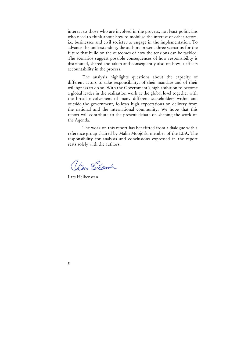interest to those who are involved in the process, not least politicians who need to think about how to mobilise the interest of other actors, i.e. businesses and civil society, to engage in the implementation. To advance the understanding, the authors present three scenarios for the future that build on the outcomes of how the tensions can be tackled. The scenarios suggest possible consequences of how responsibility is distributed, shared and taken and consequently also on how it affects accountability in the process.

The analysis highlights questions about the capacity of different actors to take responsibility, of their mandate and of their willingness to do so. With the Government's high ambition to become a global leader in the realisation work at the global level together with the broad involvement of many different stakeholders within and outside the government, follows high expectations on delivery from the national and the international community. We hope that this report will contribute to the present debate on shaping the work on the Agenda.

The work on this report has benefitted from a dialogue with a reference group chaired by Malin Mobjörk, member of the EBA. The responsibility for analysis and conclusions expressed in the report rests solely with the authors.

Un Citenster

Lars Heikensten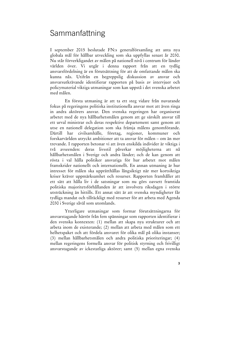## Sammanfattning

I september 2015 beslutade FN:s generalförsamling att anta nya globala mål för hållbar utveckling som ska uppfyllas senast år 2030. Nu står förverkligandet av målen på nationell nivå i centrum för länder världen över. Vi utgår i denna rapport från att en tydlig ansvarsfördelning är en förutsättning för att de omfattande målen ska kunna nås. Utifrån en begreppslig diskussion av ansvar och ansvarsutkrävande identifierar rapporten på basis av intervjuer och policymaterial viktiga utmaningar som kan uppstå i det svenska arbetet med målen.

En första utmaning är att ta ett steg vidare från nuvarande fokus på regeringens politiska institutionella ansvar mot att även ringa in andra aktörers ansvar. Den svenska regeringen har organiserat arbetet med de nya hållbarhetsmålen genom att ge särskilt ansvar till ett urval ministrar och deras respektive departement samt genom att utse en nationell delegation som ska främja målens genomförande. Därtill har civilsamhälle, företag, regioner, kommuner och forskarvärlden utryckt ambitioner att ta ansvar för målen – om än mer trevande. I rapporten betonar vi att även enskilda individer är viktiga i två avseenden: deras livsstil påverkar möjligheterna att nå hållbarhetsmålen i Sverige och andra länder; och de kan genom att rösta i val hålla politiker ansvariga för hur arbetet mot målen framskrider nationellt och internationellt. En annan utmaning är hur intresset för målen ska upprätthållas långsiktigt när mer kortsiktiga kriser kräver uppmärksamhet och resurser. Rapporten framhåller att ett sätt att hålla liv i de satsningar som nu görs oavsett framtida politiska majoritetsförhållanden är att involvera riksdagen i större utsträckning än hittills. Ett annat sätt är att svenska myndigheter får tydliga mandat och tillräckligt med resurser för att arbeta med Agenda 2030 i Sverige såväl som utomlands.

Ytterligare utmaningar som formar förutsättningarna för ansvarstagande härrör från fem spänningar som rapporten identifierar i den svenska kontexten: (1) mellan att skapa nya strukturer och att arbeta inom de existerande; (2) mellan att arbeta med målen som ett helhetspaket och att fördela ansvaret för olika mål på olika instanser; (3) mellan hållbarhetsmålen och andra politiska prioriteringar; (4) mellan regeringens formella ansvar för politisk styrning och frivilligt ansvarstagande av ickestatliga aktörer; samt (5) mellan egna svenska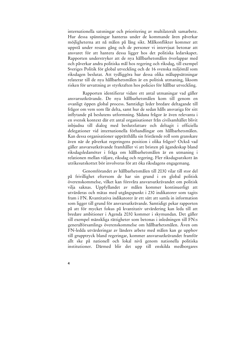internationella satsningar och prioritering av multilateralt samarbete. Hur dessa spänningar hanteras under de kommande åren påverkar möjligheterna att nå målen på lång sikt. Målkonflikter kommer att uppstå under resans gång och de personer vi intervjuat betonar att ansvaret för att hantera dessa ligger hos det politiska ledarskapet. Rapporten understryker att de nya hållbarhetsmålen överlappar med och påverkar andra politiska mål hos regering och riksdag, till exempel Sveriges Politik för global utveckling och de 16 svenska miljömål som riksdagen beslutat. Att tydliggöra hur dessa olika måluppsättningar relaterar till de nya hållbarhetsmålen är en politisk utmaning, liksom risken för urvattning av styrkraften hos policies för hållbar utveckling.

Rapporten identifierar vidare ett antal utmaningar vad gäller ansvarsutkrävande. De nya hållbarhetsmålen kom till genom en ovanligt öppen global process. Samtidigt leder bredare deltagande till frågor om vem som får delta, samt hur de sedan hålls ansvariga för sitt inflytande på beslutens utformning. Sådana frågor är även relevanta i en svensk kontext där ett antal organisationer från civilsamhället blivit inbjudna till dialog med beslutsfattare och deltagit i officiella delegationer vid internationella förhandlingar om hållbarhetsmålen. Kan dessa organisationer upprätthålla sin fristående roll som granskare även när de påverkat regeringens position i olika frågor? Också vad gäller ansvarsutkrävande framhåller vi att bristen på ägandeskap bland riksdagsledamöter i fråga om hållbarhetsmålen är en utmaning i relationen mellan väljare, riksdag och regering. Fler riksdagsutskott än utrikesutskottet bör involveras för att öka riksdagens engagemang.

Genomförandet av hållbarhetsmålen till 2030 vilar till stor del på frivillighet eftersom de har sin grund i en global politisk överenskommelse, vilket kan försvåra ansvarsutkrävandet om politisk vilja saknas. Uppfyllandet av målen kommer kontinuerligt att utvärderas och mätas med utgångspunkt i 230 indikatorer som tagits fram i FN. Kvantitativa indikatorer är ett sätt att samla in information som ligger till grund för ansvarsutkrävande. Samtidigt pekar rapporten på att för mycket fokus på kvantitativ utvärdering kan leda till att bredare ambitioner i Agenda 2030 kommer i skymundan. Det gäller till exempel mänskliga rättigheter som betonas i inledningen till FN:s generalförsamlings överenskommelse om hållbarhetsmålen. Även om FN-ledda utvärderingar av länders arbete med målen kan ge upphov till grupptryck bland regeringar, kommer ansvarsutkrävandet framför allt ske på nationell och lokal nivå genom nationella politiska institutioner. Därmed blir det upp till enskilda medborgares

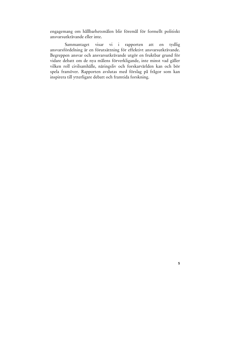engagemang om hållbarhetsmålen blir föremål för formellt politiskt ansvarsutkrävande eller inte.

Sammantaget visar vi i rapporten att en tydlig ansvarsfördelning är en förutsättning för effektivt ansvarsutkrävande. Begreppen ansvar och ansvarsutkrävande utgör en fruktbar grund för vidare debatt om de nya målens förverkligande, inte minst vad gäller vilken roll civilsamhälle, näringsliv och forskarvärlden kan och bör spela framöver. Rapporten avslutas med förslag på frågor som kan inspirera till ytterligare debatt och framtida forskning.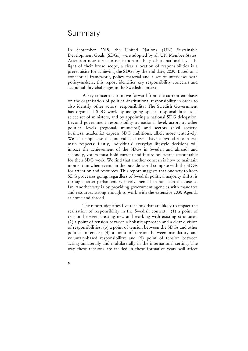## Summary

In September 2015, the United Nations (UN) Sustainable Development Goals (SDGs) were adopted by all UN Member States. Attention now turns to realisation of the goals at national level. In light of their broad scope, a clear allocation of responsibilities is a prerequisite for achieving the SDGs by the end date, 2030. Based on a conceptual framework, policy material and a set of interviews with policy-makers, this report identifies key responsibility concerns and accountability challenges in the Swedish context.

 A key concern is to move forward from the current emphasis on the organisation of political-institutional responsibility in order to also identify other actors' responsibility. The Swedish Government has organised SDG work by assigning special responsibilities to a select set of ministers, and by appointing a national SDG delegation. Beyond government responsibility at national level, actors at other political levels (regional, municipal) and sectors (civil society, business, academia) express SDG ambitions, albeit more tentatively. We also emphasise that individual citizens have a pivotal role in two main respects: firstly, individuals' everyday lifestyle decisions will impact the achievement of the SDGs in Sweden and abroad; and secondly, voters must hold current and future politicians accountable for their SDG work. We find that another concern is how to maintain momentum when events in the outside world compete with the SDGs for attention and resources. This report suggests that one way to keep SDG processes going, regardless of Swedish political majority shifts, is through better parliamentary involvement than has been the case so far. Another way is by providing government agencies with mandates and resources strong enough to work with the extensive 2030 Agenda at home and abroad.

 The report identifies five tensions that are likely to impact the realisation of responsibility in the Swedish context: (1) a point of tension between creating new and working with existing structures; (2) a point of tension between a holistic approach and a clear division of responsibilities; (3) a point of tension between the SDGs and other political interests; (4) a point of tension between mandatory and voluntary-based responsibility; and (5) point of tension between acting unilaterally and multilaterally in the international setting. The way these tensions are tackled in these formative years will affect

**<sup>6</sup>**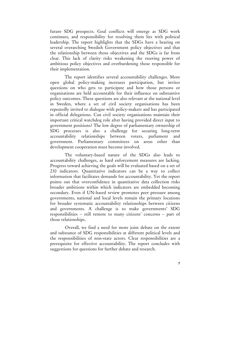future SDG prospects. Goal conflicts will emerge as SDG work continues, and responsibility for resolving them lies with political leadership. The report highlights that the SDGs have a bearing on several overarching Swedish Government policy objectives and that the relationship between those objectives and the SDGs is far from clear. This lack of clarity risks weakening the steering power of ambitious policy objectives and overburdening those responsible for their implementation.

 The report identifies several accountability challenges. More open global policy-making increases participation, but invites questions on who gets to participate and how those persons or organisations are held accountable for their influence on substantive policy outcomes. These questions are also relevant at the national level in Sweden, where a set of civil society organisations has been repeatedly invited to dialogue with policy-makers and has participated in official delegations. Can civil society organisations maintain their important critical watchdog role after having provided direct input to government positions? The low degree of parliamentary ownership of SDG processes is also a challenge for securing long-term accountability relationships between voters, parliament and government. Parliamentary committees on areas other than development cooperation must become involved.

 The voluntary-based nature of the SDGs also leads to accountability challenges, as hard enforcement measures are lacking. Progress toward achieving the goals will be evaluated based on a set of 230 indicators. Quantitative indicators can be a way to collect information that facilitates demands for accountability. Yet the report points out that overconfidence in quantitative data collection risks broader ambitions within which indicators are embedded becoming secondary. Even if UN-based review promotes peer pressure among governments, national and local levels remain the primary locations for broader systematic accountability relationships between citizens and governments. A challenge is to make governments' SDG responsibilities – still remote to many citizens' concerns – part of those relationships.

 Overall, we find a need for more joint debate on the extent and substance of SDG responsibilities at different political levels and the responsibilities of non-state actors. Clear responsibilities are a prerequisite for effective accountability. The report concludes with suggestions for questions for further debate and research.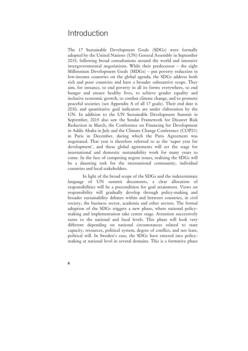## **Introduction**

The 17 Sustainable Development Goals (SDGs) were formally adopted by the United Nations (UN) General Assembly in September 2015, following broad consultations around the world and intensive intergovernmental negotiations. While their predecessor – the eight Millennium Development Goals (MDGs) – put poverty reduction in low-income countries on the global agenda, the SDGs address both rich and poor countries and have a broader substantive scope. They aim, for instance, to end poverty in all its forms everywhere, to end hunger and ensure healthy lives, to achieve gender equality and inclusive economic growth, to combat climate change, and to promote peaceful societies (see Appendix A of all 17 goals). Their end date is 2030, and quantitative goal indicators are under elaboration by the UN. In addition to the UN Sustainable Development Summit in September, 2015 also saw the Sendai Framework for Disaster Risk Reduction in March, the Conference on Financing for Development in Addis Ababa in July and the Climate Change Conference (COP21) in Paris in December, during which the Paris Agreement was negotiated. That year is therefore referred to as the 'super year for development', and these global agreements will set the stage for international and domestic sustainability work for many years to come. In the face of competing urgent issues, realising the SDGs will be a daunting task for the international community, individual countries and local stakeholders.

 In light of the broad scope of the SDGs and the indeterminate language of UN summit documents, a clear allocation of responsibilities will be a precondition for goal attainment. Views on responsibility will gradually develop through policy-making and broader sustainability debates within and between countries, in civil society, the business sector, academia and other sectors. The formal adoption of the SDGs triggers a new phase, where national policymaking and implementation take centre stage. Attention successively turns to the national and local levels. This phase will look very different depending on national circumstances related to state capacity, resources, political system, degree of conflict, and not least, political will. In Sweden's case, the SDGs have entered into policymaking at national level in several domains. This is a formative phase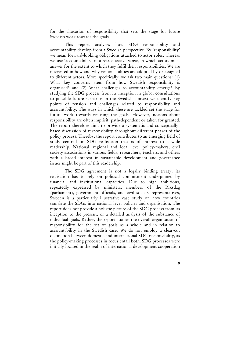for the allocation of responsibility that sets the stage for future Swedish work towards the goals.

 This report analyses how SDG responsibility and accountability develop from a Swedish perspective. By 'responsibility' we mean forward-looking obligations attached to actor roles, whereas we use 'accountability' in a retrospective sense, in which actors must answer for the extent to which they fulfil their responsibilities. We are interested in how and why responsibilities are adopted by or assigned to different actors. More specifically, we ask two main questions: (1) What key concerns stem from how Swedish responsibility is organised? and (2) What challenges to accountability emerge? By studying the SDG process from its inception in global consultations to possible future scenarios in the Swedish context we identify key points of tension and challenges related to responsibility and accountability. The ways in which these are tackled set the stage for future work towards realising the goals. However, notions about responsibility are often implicit, path-dependent or taken for granted. The report therefore aims to provide a systematic and conceptuallybased discussion of responsibility throughout different phases of the policy process. Thereby, the report contributes to an emerging field of study centred on SDG realisation that is of interest to a wide readership. National, regional and local level policy-makers, civil society associations in various fields, researchers, teachers, and others with a broad interest in sustainable development and governance issues might be part of this readership.

 The SDG agreement is not a legally binding treaty; its realisation has to rely on political commitment underpinned by financial and institutional capacities. Due to high ambitions, repeatedly expressed by ministers, members of the Riksdag (parliament), government officials, and civil society representatives, Sweden is a particularly illustrative case study on how countries translate the SDGs into national level policies and organisation. The report does not provide a holistic picture of the SDG process from its inception to the present, or a detailed analysis of the substance of individual goals. Rather, the report studies the overall organisation of responsibility for the set of goals as a whole and in relation to accountability in the Swedish case. We do not employ a clear-cut distinction between domestic and international SDG responsibility, as the policy-making processes in focus entail both. SDG processes were initially located in the realm of international development cooperation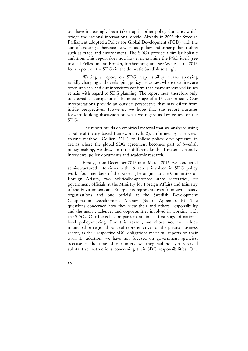but have increasingly been taken up in other policy domains, which bridge the national-international divide. Already in 2003 the Swedish Parliament adopted a Policy for Global Development (PGD) with the aim of creating coherence between aid policy and other policy realms such as trade and environment. The SDGs provide a similar holistic ambition. This report does not, however, examine the PGD itself (see instead Fellesson and Román, forthcoming, and see Weitz et al., 2015 for a report on the SDGs in the domestic Swedish setting).

 Writing a report on SDG responsibility means studying rapidly changing and overlapping policy processes, where deadlines are often unclear, and our interviews confirm that many unresolved issues remain with regard to SDG planning. The report must therefore only be viewed as a snapshot of the initial stage of a 15-year process. Our interpretations provide an outside perspective that may differ from inside perspectives. However, we hope that the report nurtures forward-looking discussion on what we regard as key issues for the SDGs.

 The report builds on empirical material that we analysed using a political-theory based framework (Ch. 2). Informed by a processtracing method (Collier, 2011) to follow policy developments in arenas where the global SDG agreement becomes part of Swedish policy-making, we draw on three different kinds of material, namely interviews, policy documents and academic research.

 Firstly, from December 2015 until March 2016, we conducted semi-structured interviews with 19 actors involved in SDG policy work: four members of the Riksdag belonging to the Committee on Foreign Affairs, two politically-appointed state secretaries, six government officials at the Ministry for Foreign Affairs and Ministry of the Environment and Energy, six representatives from civil society organisations and one official at the Swedish Development Cooperation Development Agency (Sida) (Appendix B). The questions concerned how they view their and others' responsibility and the main challenges and opportunities involved in working with the SDGs. Our focus lies on participants in the first stage of national level policy-making. For this reason, we chose not to include municipal or regional political representatives or the private business sector, as their respective SDG obligations merit full reports on their own. In addition, we have not focused on government agencies, because at the time of our interviews they had not yet received substantive instructions concerning their SDG responsibilities. One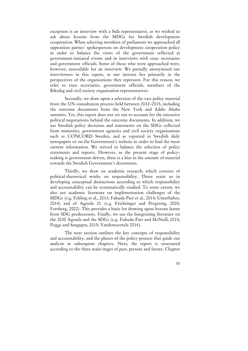exception is an interview with a Sida representative, as we wished to ask about lessons from the MDGs for Swedish development cooperation. When selecting members of parliament we approached all opposition parties' spokesperson on development cooperation policy in order to balance the views of the government reflected at government-initiated events and in interviews with state secretaries and government officials. Some of those who were approached were, however, unavailable for an interview. We partially anonymised our interviewees in this report, as our interest lies primarily in the perspectives of the organisations they represent. For this reason, we refer to state secretaries, government officials, members of the Riksdag and civil society organisation representatives.

 Secondly, we draw upon a selection of the vast policy material from the UN consultation process held between 2012–2015, including the outcome documents from the New York and Addis Ababa summits. Yet, this report does not set out to account for the extensive political negotiations behind the outcome documents. In addition, we use Swedish policy decisions and statements on the SDGs collected from ministries, government agencies and civil society organisations such as CONCORD Sweden, and as reported in Swedish daily newspapers or on the Government's website in order to find the most current information. We strived to balance the selection of policy statements and reports. However, as the present stage of policymaking is government-driven, there is a bias in the amount of material towards the Swedish Government's documents.

 Thirdly, we draw on academic research, which consists of political-theoretical works on responsibility. Those assist us in developing conceptual distinctions according to which responsibility and accountability can be systematically studied. To some extent, we also use academic literature on implementation challenges of the MDGs (e.g. Fehling et al., 2013; Fukuda-Parr et al., 2014; Unterhalter, 2014) and of Agenda 21 (e.g. Feichtinger and Pregernig, 2005; Forsberg, 2002). This provides a basis for drawing upon lessons learnt from SDG predecessors. Finally, we use the burgeoning literature on the 2030 Agenda and the SDGs (e.g. Fukuda-Parr and McNeill, 2015; Pogge and Sengupta, 2015; Vandemoortele 2014).

 The next section outlines the key concepts of responsibility and accountability, and the phases of the policy process that guide our analysis in subsequent chapters. Next, the report is structured according to the three main stages of past, present and future. Chapter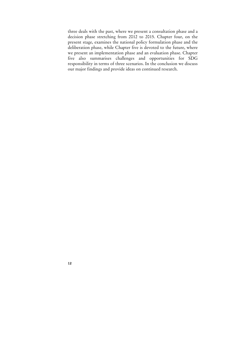three deals with the past, where we present a consultation phase and a decision phase stretching from 2012 to 2015. Chapter four, on the present stage, examines the national policy formulation phase and the deliberation phase, while Chapter five is devoted to the future, where we present an implementation phase and an evaluation phase. Chapter five also summarises challenges and opportunities for SDG responsibility in terms of three scenarios. In the conclusion we discuss our major findings and provide ideas on continued research.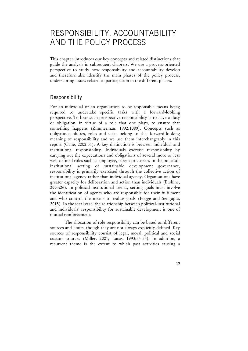# RESPONSIBILITY, ACCOUNTABILITY AND THE POLICY PROCESS

This chapter introduces our key concepts and related distinctions that guide the analysis in subsequent chapters. We use a process-oriented perspective to study how responsibility and accountability develop and therefore also identify the main phases of the policy process, underscoring issues related to participation in the different phases.

## Responsibility

For an individual or an organisation to be responsible means being required to undertake specific tasks with a forward-looking perspective. To bear such prospective responsibility is to have a duty or obligation, in virtue of a role that one plays, to ensure that something happens (Zimmerman, 1992:1089). Concepts such as obligations, duties, roles and tasks belong to this forward-looking meaning of responsibility and we use them interchangeably in this report (Cane, 2002:31). A key distinction is between individual and institutional responsibility. Individuals exercise responsibility by carrying out the expectations and obligations of several more or less well-defined roles such as employee, parent or citizen. In the politicalinstitutional setting of sustainable development governance, responsibility is primarily exercised through the collective action of institutional agency rather than individual agency. Organisations have greater capacity for deliberation and action than individuals (Erskine, 2003:26). In political-institutional arenas, setting goals must involve the identification of agents who are responsible for their fulfilment and who control the means to realise goals (Pogge and Sengupta, 2015). In the ideal case, the relationship between political-institutional and individuals' responsibility for sustainable development is one of mutual reinforcement.

 The allocation of role responsibility can be based on different sources and limits, though they are not always explicitly defined. Key sources of responsibility consist of legal, moral, political and social custom sources (Miller, 2001; Lucas, 1993:54-55). In addition, a recurrent theme is the extent to which past activities causing a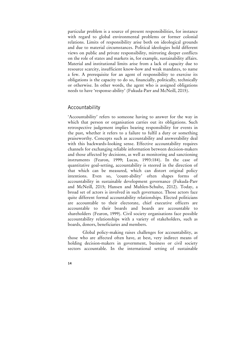particular problem is a source of present responsibilities, for instance with regard to global environmental problems or former colonial relations. Limits of responsibility arise both on ideological grounds and due to material circumstances. Political ideologies hold different views on public and private responsibility, mirroring deeper conflicts on the role of states and markets in, for example, sustainability affairs. Material and institutional limits arise from a lack of capacity due to resource scarcity, insufficient know-how and weak mandates, to name a few. A prerequisite for an agent of responsibility to exercise its obligations is the capacity to do so, financially, politically, technically or otherwise. In other words, the agent who is assigned obligations needs to have 'response-ability' (Fukuda-Parr and McNeill, 2015).

## Accountability

'Accountability' refers to someone having to answer for the way in which that person or organisation carries out its obligations. Such retrospective judgement implies bearing responsibility for events in the past, whether it refers to a failure to fulfil a duty or something praiseworthy. Concepts such as accountability and answerability deal with this backwards-looking sense. Effective accountability requires channels for exchanging reliable information between decision-makers and those affected by decisions, as well as monitoring and sanctioning instruments (Fearon, 1999; Lucas, 1993:184). In the case of quantitative goal-setting, accountability is steered in the direction of that which can be measured, which can distort original policy intentions. Even so, 'count-ability' often shapes forms of accountability in sustainable development governance (Fukuda-Parr and McNeill, 2015; Hansen and Muhlen-Schulte, 2012). Today, a broad set of actors is involved in such governance. Those actors face quite different formal accountability relationships. Elected politicians are accountable to their electorate, chief executive officers are accountable to their boards and boards are accountable to shareholders (Fearon, 1999). Civil society organisations face possible accountability relationships with a variety of stakeholders, such as boards, donors, beneficiaries and members.

 Global policy-making raises challenges for accountability, as those who are affected often have, at best, very indirect means of holding decision-makers in government, business or civil society sectors accountable. In the international setting of sustainable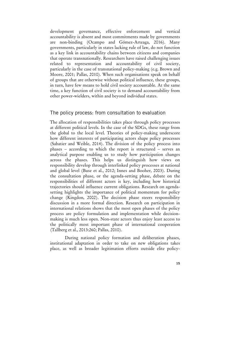development governance, effective enforcement and vertical accountability is absent and most commitments made by governments are non-binding (Ocampo and Gómez-Arteaga, 2016). Many governments, particularly in states lacking rule of law, do not function as a key link in accountability chains between citizens and companies that operate transnationally. Researchers have raised challenging issues related to representation and accountability of civil society, particularly in the case of transnational policy-making (e.g. Brown and Moore, 2001; Pallas, 2010). When such organisations speak on behalf of groups that are otherwise without political influence, these groups, in turn, have few means to hold civil society accountable. At the same time, a key function of civil society is to demand accountability from other power-wielders, within and beyond individual states.

#### The policy process: from consultation to evaluation

The allocation of responsibilities takes place through policy processes at different political levels. In the case of the SDGs, these range from the global to the local level. Theories of policy-making underscore how different interests of participating actors shape policy processes (Sabatier and Weible, 2014). The division of the policy process into phases – according to which the report is structured – serves an analytical purpose enabling us to study how participation changes across the phases. This helps us distinguish how views on responsibility develop through interlinked policy processes at national and global level (Buse et al., 2012; Innes and Booher, 2003). During the consultation phase, or the agenda-setting phase, debate on the responsibilities of different actors is key, including how historical trajectories should influence current obligations. Research on agendasetting highlights the importance of political momentum for policy change (Kingdon, 2002). The decision phase steers responsibility discussion in a more formal direction. Research on participation in international relations shows that the most open phases of the policy process are policy formulation and implementation while decisionmaking is much less open. Non-state actors thus enjoy least access to the politically most important phase of international cooperation (Tallberg et al., 2013:260; Pallas, 2010).

 During national policy formation and deliberation phases, institutional adaptation in order to take on new obligations takes place, as well as broader legitimation efforts outside elite policy-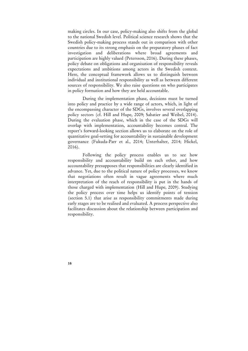making circles. In our case, policy-making also shifts from the global to the national Swedish level. Political science research shows that the Swedish policy-making process stands out in comparison with other countries due to its strong emphasis on the preparatory phases of fact investigation and deliberations where broad agreements and participation are highly valued (Petersson, 2016). During these phases, policy debate on obligations and organisation of responsibility reveals expectations and ambitions among actors in the Swedish context. Here, the conceptual framework allows us to distinguish between individual and institutional responsibility as well as between different sources of responsibility. We also raise questions on who participates in policy formation and how they are held accountable.

 During the implementation phase, decisions must be turned into policy and practice by a wide range of actors, which, in light of the encompassing character of the SDGs, involves several overlapping policy sectors (cf. Hill and Hupe, 2009; Sabatier and Weibel, 2014). During the evaluation phase, which in the case of the SDGs will overlap with implementation, accountability becomes central. The report's forward-looking section allows us to elaborate on the role of quantitative goal-setting for accountability in sustainable development governance (Fukuda-Parr et al., 2014; Unterhalter, 2014; Hickel, 2016).

 Following the policy process enables us to see how responsibility and accountability build on each other, and how accountability presupposes that responsibilities are clearly identified in advance. Yet, due to the political nature of policy processes, we know that negotiations often result in vague agreements where much interpretation of the reach of responsibility is put in the hands of those charged with implementation (Hill and Hupe, 2009). Studying the policy process over time helps us identify points of tension (section 5.1) that arise as responsibility commitments made during early stages are to be realised and evaluated. A process perspective also facilitates discussion about the relationship between participation and responsibility.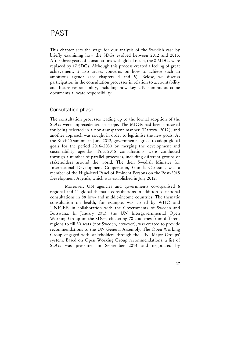This chapter sets the stage for our analysis of the Swedish case by briefly examining how the SDGs evolved between 2012 and 2015. After three years of consultations with global reach, the 8 MDGs were replaced by 17 SDGs. Although this process created a feeling of great achievement, it also causes concerns on how to achieve such an ambitious agenda (see chapters 4 and 5). Below, we discuss participation in the consultation processes in relation to accountability and future responsibility, including how key UN summit outcome documents allocate responsibility.

## Consultation phase

The consultation processes leading up to the formal adoption of the SDGs were unprecedented in scope. The MDGs had been criticised for being selected in a non-transparent manner (Darrow, 2012), and another approach was sought in order to legitimise the new goals. At the Rio+20 summit in June 2012, governments agreed to adopt global goals for the period 2016–2030 by merging the development and sustainability agendas. Post-2015 consultations were conducted through a number of parallel processes, including different groups of stakeholders around the world. The then Swedish Minister for International Development Cooperation, Gunilla Carlsson, was a member of the High-level Panel of Eminent Persons on the Post-2015 Development Agenda, which was established in July 2012.

 Moreover, UN agencies and governments co-organised 6 regional and 11 global thematic consultations in addition to national consultations in 88 low- and middle-income countries. The thematic consultation on health, for example, was co-led by WHO and UNICEF, in collaboration with the Governments of Sweden and Botswana. In January 2013, the UN Intergovernmental Open Working Group on the SDGs, clustering 70 countries from different regions to fill 30 seats (not Sweden, however), was created to provide recommendations to the UN General Assembly. The Open Working Group engaged with stakeholders through the UN 'Major Groups' system. Based on Open Working Group recommendations, a list of SDGs was presented in September 2014 and negotiated by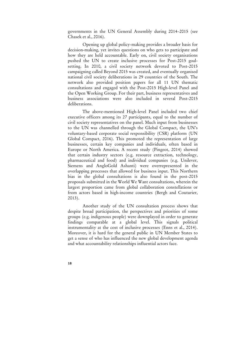governments in the UN General Assembly during 2014–2015 (see Chasek et al., 2016).

 Opening up global policy-making provides a broader basis for decision-making, yet invites questions on who gets to participate and how they are held accountable. Early on, civil society organisations pushed the UN to create inclusive processes for Post-2015 goalsetting. In 2010, a civil society network devoted to Post-2015 campaigning called Beyond 2015 was created, and eventually organised national civil society deliberations in 29 countries of the South. The network also provided position papers for all 11 UN thematic consultations and engaged with the Post-2015 High-level Panel and the Open Working Group. For their part, business representatives and business associations were also included in several Post-2015 deliberations.

 The above-mentioned High-level Panel included two chief executive officers among its 27 participants, equal to the number of civil society representatives on the panel. Much input from businesses to the UN was channelled through the Global Compact, the UN's voluntary-based corporate social responsibility (CSR) platform (UN Global Compact, 2016). This promoted the representation of large businesses, certain key companies and individuals, often based in Europe or North America. A recent study (Pingeot, 2014) showed that certain industry sectors (e.g. resource extraction, technology, pharmaceutical and food) and individual companies (e.g. Unilever, Siemens and AngloGold Ashanti) were overrepresented in the overlapping processes that allowed for business input. This Northern bias in the global consultations is also found in the post-2015 proposals submitted in the World We Want consultations, wherein the largest proportion came from global collaboration constellations or from actors based in high-income countries (Bergh and Couturier, 2013).

 Another study of the UN consultation process shows that despite broad participation, the perspectives and priorities of some groups (e.g. indigenous people) were downplayed in order to generate findings comparable at a global level. This signals political instrumentality at the cost of inclusive processes (Enns et al., 2014). Moreover, it is hard for the general public in UN Member States to get a sense of who has influenced the new global development agenda and what accountability relationships influential actors face.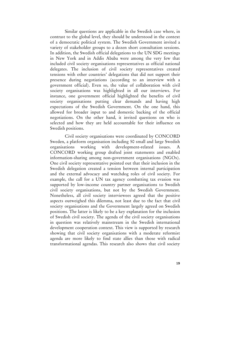Similar questions are applicable in the Swedish case where, in contrast to the global level, they should be understood in the context of a democratic political system. The Swedish Government invited a variety of stakeholder groups to a dozen short consultation sessions. In addition, the Swedish official delegations to the UN SDG meetings in New York and in Addis Ababa were among the very few that included civil society organisations representatives as official national delegates. The inclusion of civil society representatives created tensions with other countries' delegations that did not support their presence during negotiations (according to an interview with a government official). Even so, the value of collaboration with civil society organisations was highlighted in all our interviews. For instance, one government official highlighted the benefits of civil society organisations putting clear demands and having high expectations of the Swedish Government. On the one hand, this allowed for broader input to and domestic backing of the official negotiations. On the other hand, it invited questions on who is selected and how they are held accountable for their influence on Swedish positions.

 Civil society organisations were coordinated by CONCORD Sweden, a platform organisation including 50 small and large Swedish organisations working with development-related issues. A CONCORD working group drafted joint statements and enabled information-sharing among non-government organisations (NGOs). One civil society representative pointed out that their inclusion in the Swedish delegation created a tension between internal participation and the external advocacy and watchdog roles of civil society. For example, the call for a UN tax agency combatting tax evasion was supported by low-income country partner organisations to Swedish civil society organisations, but not by the Swedish Government. Nonetheless, all civil society interviewees agreed that the positive aspects outweighed this dilemma, not least due to the fact that civil society organisations and the Government largely agreed on Swedish positions. The latter is likely to be a key explanation for the inclusion of Swedish civil society. The agenda of the civil society organisations in question was relatively mainstream in the Swedish international development cooperation context. This view is supported by research showing that civil society organisations with a moderate reformist agenda are more likely to find state allies than those with radical transformational agendas. This research also shows that civil society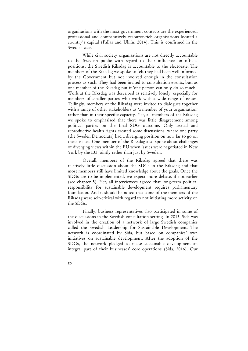organisations with the most government contacts are the experienced, professional and comparatively resource-rich organisations located a country's capital (Pallas and Uhlin, 2014). This is confirmed in the Swedish case.

 While civil society organisations are not directly accountable to the Swedish public with regard to their influence on official positions, the Swedish Riksdag is accountable to the electorate. The members of the Riksdag we spoke to felt they had been well informed by the Government but not involved enough in the consultation process as such. They had been invited to consultation events, but, as one member of the Riksdag put it 'one person can only do so much'. Work at the Riksdag was described as relatively lonely, especially for members of smaller parties who work with a wide range of issues. Tellingly, members of the Riksdag were invited to dialogues together with a range of other stakeholders as 'a member of your organisation' rather than in their specific capacity. Yet, all members of the Riksdag we spoke to emphasised that there was little disagreement among political parties on the final SDG outcome. Only sexual and reproductive health rights created some discussions, where one party (the Sweden Democrats) had a diverging position on how far to go on these issues. One member of the Riksdag also spoke about challenges of diverging views within the EU when issues were negotiated in New York by the EU jointly rather than just by Sweden.

 Overall, members of the Riksdag agreed that there was relatively little discussion about the SDGs in the Riksdag and that most members still have limited knowledge about the goals. Once the SDGs are to be implemented, we expect more debate, if not earlier (see chapter 5). Yet, all interviewees agreed that long-term political responsibility for sustainable development requires parliamentary foundation. And it should be noted that some of the members of the Riksdag were self-critical with regard to not initiating more activity on the SDGs.

 Finally, business representatives also participated in some of the discussions in the Swedish consultation setting. In 2013, Sida was involved in the creation of a network of large Swedish companies called the Swedish Leadership for Sustainable Development. The network is coordinated by Sida, but based on companies' own initiatives on sustainable development. After the adoption of the SDGs, the network pledged to make sustainable development an integral part of their businesses' core operations (Sida, 2016). Our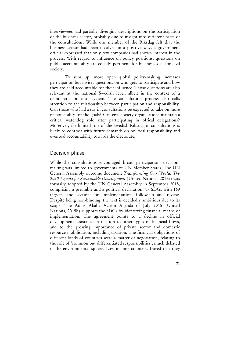interviewees had partially diverging descriptions on the participation of the business sector, probably due to insight into different parts of the consultations. While one member of the Riksdag felt that the business sector had been involved in a positive way, a government official expressed that only few companies had shown interest in the process. With regard to influence on policy positions, questions on public accountability are equally pertinent for businesses as for civil society.

 To sum up, more open global policy-making increases participation but invites questions on who gets to participate and how they are held accountable for their influence. Those questions are also relevant at the national Swedish level, albeit in the context of a democratic political system. The consultation process also calls attention to the relationship between participation and responsibility. Can those who had a say in consultations be expected to take on more responsibility for the goals? Can civil society organisations maintain a critical watchdog role after participating in offical delegations? Moreover, the limited role of the Swedish Riksdag in consultations is likely to contrast with future demands on political responsibility and eventual accountability towards the electorate.

## Decision phase

While the consultations encouraged broad participation, decisionmaking was limited to governments of UN Member States. The UN General Assembly outcome document *Transforming Our World: The 2030 Agenda for Sustainable Development* (United Nations, 2015a) was formally adopted by the UN General Assembly in September 2015, comprising a preamble and a political declaration, 17 SDGs with 169 targets, and sections on implementation, follow-up and review. Despite being non-binding, the text is decidedly ambitious due to its scope. The Addis Ababa Action Agenda of July 2015 (United Nations, 2015b) supports the SDGs by identifying financial means of implementation. The agreement points to a decline in official development assistance in relation to other types of financial flows, and to the growing importance of private sector and domestic resource mobilisation, including taxation. The financial obligations of different kinds of countries were a matter of negotiation, relating to the role of 'common but differentiated responsibilities', much debated in the environmental sphere. Low-income countries feared that they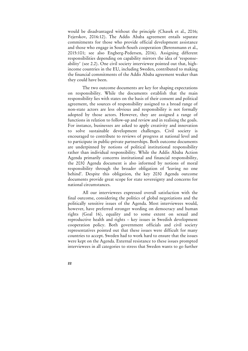would be disadvantaged without the principle (Chasek et al., 2016; Fejerskov, 2016:12). The Addis Ababa agreement entails separate commitments for those who provide official development assistance and those who engage in South-South cooperation (Berensmann et al., 2015:101; see also Engberg-Pedersen, 2016). Assigning different responsibilities depending on capability mirrors the idea of 'responseability' (see 2.2). One civil society interviewee pointed out that, highincome countries in the EU, including Sweden, contributed to making the financial commitments of the Addis Ababa agreement weaker than they could have been.

 The two outcome documents are key for shaping expectations on responsibility. While the documents establish that the main responsibility lies with states on the basis of their consent and political agreement, the sources of responsibility assigned to a broad range of non-state actors are less obvious and responsibility is not formally adopted by those actors. However, they are assigned a range of functions in relation to follow-up and review and in realising the goals. For instance, businesses are asked to apply creativity and innovation to solve sustainable development challenges. Civil society is encouraged to contribute to reviews of progress at national level and to participate in public-private partnerships. Both outcome documents are underpinned by notions of political institutional responsibility rather than individual responsibility. While the Addis Ababa Action Agenda primarily concerns institutional and financial responsibility, the 2030 Agenda document is also informed by notions of moral responsibility through the broader obligation of 'leaving no one behind'. Despite this obligation, the key 2030 Agenda outcome documents provide great scope for state sovereignty and concerns for national circumstances.

 All our interviewees expressed overall satisfaction with the final outcome, considering the politics of global negotiations and the politically sensitive issues of the Agenda. Most interviewees would, however, have preferred stronger wording on democracy and human rights (Goal 16), equality and to some extent on sexual and reproductive health and rights – key issues in Swedish development cooperation policy. Both government officials and civil society representatives pointed out that these issues were difficult for many countries to accept. Sweden had to work hard to ensure that the issues were kept on the Agenda. External resistance to these issues prompted interviewees in all categories to stress that Sweden wants to go further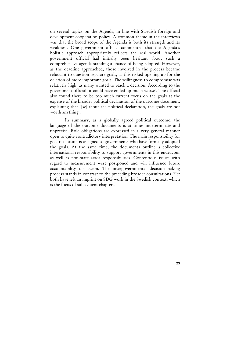on several topics on the Agenda, in line with Swedish foreign and development cooperation policy. A common theme in the interviews was that the broad scope of the Agenda is both its strength and its weakness. One government official commented that the Agenda's holistic approach appropriately reflects the real world. Another government official had initially been hesitant about such a comprehensive agenda standing a chance of being adopted. However, as the deadline approached, those involved in the process became reluctant to question separate goals, as this risked opening up for the deletion of more important goals. The willingness to compromise was relatively high, as many wanted to reach a decision. According to the government official 'it could have ended up much worse'. The official also found there to be too much current focus on the goals at the expense of the broader political declaration of the outcome document, explaining that '[w]ithout the political declaration, the goals are not worth anything'.

 In summary, as a globally agreed political outcome, the language of the outcome documents is at times indeterminate and unprecise. Role obligations are expressed in a very general manner open to quite contradictory interpretation. The main responsibility for goal realisation is assigned to governments who have formally adopted the goals. At the same time, the documents outline a collective international responsibility to support governments in this endeavour as well as non-state actor responsibilities. Contentious issues with regard to measurement were postponed and will influence future accountability discussion. The intergovernmental decision-making process stands in contrast to the preceding broader consultations. Yet both have left an imprint on SDG work in the Swedish context, which is the focus of subsequent chapters.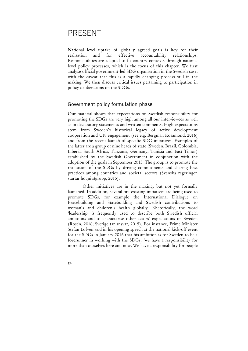# PRESENT

National level uptake of globally agreed goals is key for their realisation and for effective accountability relationships. Responsibilities are adapted to fit country contexts through national level policy processes, which is the focus of this chapter. We first analyse official government-led SDG organisation in the Swedish case, with the caveat that this is a rapidly changing process still in the making. We then discuss critical issues pertaining to participation in policy deliberations on the SDGs.

## Government policy formulation phase

Our material shows that expectations on Swedish responsibility for promoting the SDGs are very high among all our interviewees as well as in declaratory statements and written comments. High expectations stem from Sweden's historical legacy of active development cooperation and UN engagement (see e.g. Bergman Rosamond, 2016) and from the recent launch of specific SDG initiatives. Examples of the latter are a group of nine heads of state (Sweden, Brazil, Colombia, Liberia, South Africa, Tanzania, Germany, Tunisia and East Timor) established by the Swedish Government in conjunction with the adoption of the goals in September 2015. The group is to promote the realisation of the SDGs by driving commitments and sharing best practices among countries and societal sectors (Svenska regeringen startar högnivågrupp, 2015).

 Other initiatives are in the making, but not yet formally launched. In addition, several pre-existing initiatives are being used to promote SDGs, for example the International Dialogue on Peacebuilding and Statebuilding and Swedish contributions to woman's and children's health globally. Rhetorically, the word 'leadership' is frequently used to describe both Swedish official ambitions and to characterise other actors' expectations on Sweden (Rosén, 2016; Sverige tar ansvar, 2015). For instance, Prime Minister Stefan Löfvén said in his opening speech at the national kick-off event for the SDGs in January 2016 that his ambition is for Sweden to be a forerunner in working with the SDGs: 'we have a responsibility for more than ourselves here and now. We have a responsibility for people

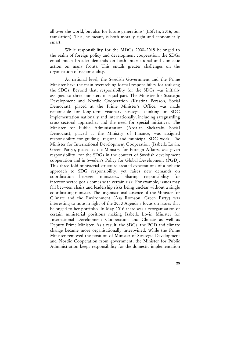all over the world, but also for future generations' (Löfvén, 2016, our translation). This, he meant, is both morally right and economically smart.

 While responsibility for the MDGs 2000–2015 belonged to the realm of foreign policy and development cooperation, the SDGs entail much broader demands on both international and domestic action on many fronts. This entails greater challenges on the organisation of responsibility.

 At national level, the Swedish Government and the Prime Minister have the main overarching formal responsibility for realising the SDGs. Beyond that, responsibility for the SDGs was initially assigned to three ministers in equal part. The Minister for Strategic Development and Nordic Cooperation (Kristina Persson, Social Democrat), placed at the Prime Minister's Office, was made responsible for long-term visionary strategic thinking on SDG implementation nationally and internationally, including safeguarding cross-sectoral approaches and the need for special initiatives. The Minister for Public Administration (Ardalan Shekarabi, Social Democrat), placed at the Ministry of Finance, was assigned responsibility for guiding regional and municipal SDG work. The Minister for International Development Cooperation (Isabella Lövin, Green Party), placed at the Ministry for Foreign Affairs, was given responsibility for the SDGs in the context of Swedish development cooperation and in Sweden's Policy for Global Development (PGD). This three-fold ministerial structure created expectations of a holistic approach to SDG responsibility, yet raises new demands on coordination between ministries. Sharing responsibility for interconnected goals comes with certain risk. For example, issues may fall between chairs and leadership risks being unclear without a single coordinating minister. The organisational absence of the Minister for Climate and the Environment (Åsa Romson, Green Party) was interesting to note in light of the 2030 Agenda's focus on issues that belonged to her portfolio. In May 2016 there was a reorganisation of certain ministerial positions making Isabella Lövin Minister for International Development Cooperation and Climate as well as Deputy Prime Minister. As a result, the SDGs, the PGD and climate change became more organisationally intertwined. While the Prime Minister removed the position of Minister of Strategic Development and Nordic Cooperation from government, the Minister for Public Administration keeps responsibility for the domestic implementation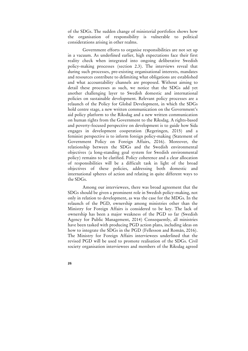of the SDGs. The sudden change of ministerial portfolios shows how the organisation of responsibility is vulnerable to political considerations arising in other realms.

 Government efforts to organise responsibilities are not set up in a vacuum. As underlined earlier, high expectations face their first reality check when integrated into ongoing deliberative Swedish policy-making processes (section 2.3). The interviews reveal that during such processes, pre-existing organisational interests, mandates and resources contribute to delimiting what obligations are established and what accountability channels are proposed. Without aiming to detail these processes as such, we notice that the SDGs add yet another challenging layer to Swedish domestic and international policies on sustainable development. Relevant policy processes are a relaunch of the Policy for Global Development, in which the SDGs hold centre stage, a new written communication on the Government's aid policy platform to the Riksdag and a new written communication on human rights from the Government to the Riksdag. A rights-based and poverty-focused perspective on development is to guide how Sida engages in development cooperation (Regeringen, 2015) and a feminist perspective is to inform foreign policy-making (Statement of Government Policy on Foreign Affairs, 2016). Moreover, the relationship between the SDGs and the Swedish environmental objectives (a long-standing goal system for Swedish environmental policy) remains to be clarified. Policy coherence and a clear allocation of responsibilities will be a difficult task in light of the broad objectives of these policies, addressing both domestic and international spheres of action and relating in quite different ways to the SDGs.

 Among our interviewees, there was broad agreement that the SDGs should be given a prominent role in Swedish policy-making, not only in relation to development, as was the case for the MDGs. In the relaunch of the PGD, ownership among ministries other than the Ministry for Foreign Affairs is considered to be key. The lack of ownership has been a major weakness of the PGD so far (Swedish Agency for Public Management, 2014) Consequently, all ministries have been tasked with producing PGD action plans, including ideas on how to integrate the SDGs in the PGD (Fellesson and Román, 2016). The Ministry for Foreign Affairs interviewees underlined that the revised PGD will be used to promote realisation of the SDGs. Civil society organisation interviewees and members of the Riksdag agreed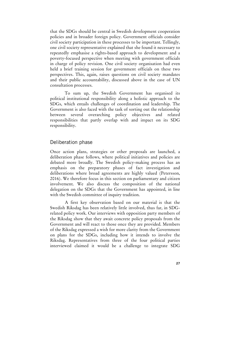that the SDGs should be central in Swedish development cooperation policies and in broader foreign policy. Government officials consider civil society participation in these processes to be important. Tellingly, one civil society representative explained that she found it necessary to repeatedly emphasise a rights-based approach to development and a poverty-focused perspective when meeting with government officials in charge of policy revision. One civil society organisation had even held a brief training session for government officials on these two perspectives. This, again, raises questions on civil society mandates and their public accountability, discussed above in the case of UN consultation processes.

 To sum up, the Swedish Government has organised its political institutional responsibility along a holistic approach to the SDGs, which entails challenges of coordination and leadership. The Government is also faced with the task of sorting out the relationship between several overarching policy objectives and related responsibilities that partly overlap with and impact on its SDG responsibility.

## Deliberation phase

Once action plans, strategies or other proposals are launched, a deliberation phase follows, where political initiatives and policies are debated more broadly. The Swedish policy-making process has an emphasis on the preparatory phases of fact investigation and deliberations where broad agreements are highly valued (Petersson, 2016). We therefore focus in this section on parliamentary and citizen involvement. We also discuss the composition of the national delegation on the SDGs that the Government has appointed, in line with the Swedish committee of inquiry tradition.

 A first key observation based on our material is that the Swedish Riksdag has been relatively little involved, thus far, in SDGrelated policy work. Our interviews with opposition party members of the Riksdag show that they await concrete policy proposals from the Government and will react to those once they are provided. Members of the Riksdag expressed a wish for more clarity from the Government on plans for the SDGs, including how it intends to involve the Riksdag. Representatives from three of the four political parties interviewed claimed it would be a challenge to integrate SDG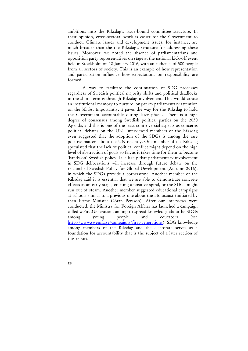ambitions into the Riksdag's issue-bound committee structure. In their opinion, cross-sectoral work is easier for the Government to conduct. Climate issues and development issues, for instance, are much broader than the the Riksdag's structure for addressing these issues. Moreover, we noted the absence of parliamentarians and opposition party representatives on stage at the national kick-off event held in Stockholm on 18 January 2016, with an audience of 500 people from all sectors of society. This is an example of how representation and participation influence how expectations on responsibility are formed.

 A way to facilitate the continuation of SDG processes regardless of Swedish political majority shifts and political deadlocks in the short term is through Riksdag involvement. This would create an institutional memory to nurture long-term parliamentary attention on the SDGs. Importantly, it paves the way for the Riksdag to hold the Government accountable during later phases. There is a high degree of consensus among Swedish political parties on the 2030 Agenda, and this is one of the least controversial aspects as concerns political debates on the UN. Interviewed members of the Riksdag even suggested that the adoption of the SDGs is among the rare positive matters about the UN recently. One member of the Riksdag speculated that the lack of political conflict might depend on the high level of abstraction of goals so far, as it takes time for them to become 'hands-on' Swedish policy. It is likely that parliamentary involvement in SDG deliberations will increase through future debate on the relaunched Swedish Policy for Global Development (Autumn 2016), in which the SDGs provide a cornerstone. Another member of the Riksdag said it is essential that we are able to demonstrate concrete effects at an early stage, creating a positive spiral, or the SDGs might run out of steam. Another member suggested educational campaigns at schools similar to a previous one about the Holocaust (initiated by then Prime Minister Göran Persson). After our interviews were conducted, the Ministry for Foreign Affairs has launched a campaign called #FirstGeneration, aiming to spread knowledge about he SDGs among young people and educators (see http://www.swemfa.se/campaigns/first-generation/). SDG knowledge among members of the Riksdag and the electorate serves as a foundation for accountability that is the subject of a later section of this report.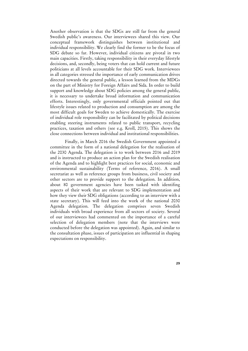Another observation is that the SDGs are still far from the general Swedish public's awareness. Our interviewees shared this view. Our conceptual framework distinguishes between institutional and individual responsibility. We clearly find the former to be the focus of SDG debate so far. However, individual citizens are pivotal in two main capacities. Firstly, taking responsibility in their everyday lifestyle decisions, and, secondly, being voters that can hold current and future politicians at all levels accountable for their SDG work. Interviewees in all categories stressed the importance of early communication drives directed towards the general public, a lesson learned from the MDGs on the part of Ministry for Foreign Affairs and Sida. In order to build support and knowledge about SDG policies among the general public, it is necessary to undertake broad information and communication efforts. Interestingly, only governmental officials pointed out that lifestyle issues related to production and consumption are among the most difficult goals for Sweden to achieve domestically. The exercise of individual role responsibility can be facilitated by political decisions enabling steering instruments related to public transport, recycling practices, taxation and others (see e.g. Kroll, 2015). This shows the close connections between individual and institutional responsibilities.

 Finally, in March 2016 the Swedish Government appointed a committee in the form of a national delegation for the realisation of the 2030 Agenda. The delegation is to work between 2016 and 2019 and is instructed to produce an action plan for the Swedish realisation of the Agenda and to highlight best practices for social, economic and environmental sustainability (Terms of reference, 2016). A small secretariat as well as reference groups from business, civil society and other sectors are to provide support to the delegation. In addition, about 80 government agencies have been tasked with identifing aspects of their work that are relevant to SDG implementation and how they view their SDG obligations (according to an interview with a state secretary). This will feed into the work of the national 2030 Agenda delegation. The delegation comprises seven Swedish individuals with broad experience from all sectors of society. Several of our interviewees had commented on the importance of a careful selection of delegation members (note that the interviews were conducted before the delegation was appointed). Again, and similar to the consultation phase, issues of participation are influential in shaping expectations on responsibility.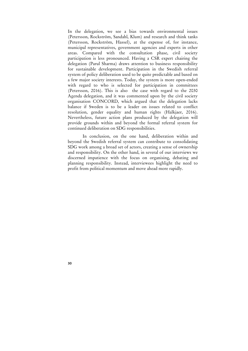In the delegation, we see a bias towards environmental issues (Petersson, Rockström, Sandahl, Klum) and research and think tanks (Petersson, Rockström, Hassel), at the expense of, for instance, municipal representatives, government agencies and experts in other areas. Compared with the consultation phase, civil society participation is less pronounced. Having a CSR expert chairing the delegation (Parul Sharma) draws attention to business responsibility for sustainable development. Participation in the Swedish referral system of policy deliberation used to be quite predictable and based on a few major society interests. Today, the system is more open-ended with regard to who is selected for participation in committees (Petersson, 2016). This is also the case with regard to the 2030 Agenda delegation, and it was commented upon by the civil society organisation CONCORD, which argued that the delegation lacks balance if Sweden is to be a leader on issues related to conflict resolution, gender equality and human rights (Halkjaer, 2016). Nevertheless, future action plans produced by the delegation will provide grounds within and beyond the formal referral system for continued deliberation on SDG responsibilities.

 In conclusion, on the one hand, deliberation within and beyond the Swedish referral system can contribute to consolidating SDG work among a broad set of actors, creating a sense of ownership and responsibility. On the other hand, in several of our interviews we discerned impatience with the focus on organising, debating and planning responsibility. Instead, interviewees highlight the need to profit from political momentum and move ahead more rapidly.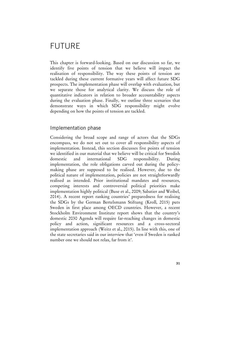# FUTURE

This chapter is forward-looking. Based on our discussion so far, we identify five points of tension that we believe will impact the realisation of responsibility. The way these points of tension are tackled during these current formative years will affect future SDG prospects. The implementation phase will overlap with evaluation, but we separate those for analytical clarity. We discuss the role of quantitative indicators in relation to broader accountability aspects during the evaluation phase. Finally, we outline three scenarios that demonstrate ways in which SDG responsibility might evolve depending on how the points of tension are tackled.

## Implementation phase

Considering the broad scope and range of actors that the SDGs encompass, we do not set out to cover all responsibility aspects of implementation. Instead, this section discusses five points of tension we identified in our material that we believe will be critical for Swedish domestic and international SDG responsibility. During implementation, the role obligations carved out during the policymaking phase are supposed to be realised. However, due to the political nature of implementation, policies are not straightforwardly realised as intended. Prior institutional mandates and resources, competing interests and controversial political priorities make implementation highly political (Buse et al., 2009; Sabatier and Weibel, 2014). A recent report ranking countries' preparedness for realising the SDGs by the German Bertelsmann Stiftung (Kroll, 2015) puts Sweden in first place among OECD countries. However, a recent Stockholm Environment Institute report shows that the country's domestic 2030 Agenda will require far-reaching changes in domestic policy and action, significant resources and a cross-sectoral implementation approach (Weitz et al., 2015). In line with this, one of the state secretaries said in our interview that 'even if Sweden is ranked number one we should not relax, far from it'.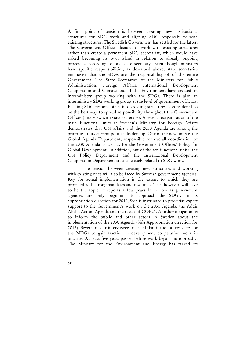A first point of tension is between creating new institutional structures for SDG work and aligning SDG responsibility with existing structures. The Swedish Government has settled for the latter. The Government Offices decided to work with existing structures rather than create a permanent SDG secretariat, which would have risked becoming its own island in relation to already ongoing processes, according to one state secretary. Even though ministers have specific responsibilities, as described above, state secretaries emphasise that the SDGs are the responsibility of of the entire Government. The State Secretaries of the Ministers for Public Administration, Foreign Affairs, International Development Cooperation and Climate and of the Environment have created an interministry group working with the SDGs. There is also an interministry SDG working group at the level of government officials. Feeding SDG responsibility into existing structures is considered to be the best way to spread responsibility throughout the Government Offices (interview with state secretary). A recent reorganisation of the main functional units at Sweden's Ministry for Foreign Affairs demonstrates that UN affairs and the 2030 Agenda are among the priorities of its current political leadership. One of the new units is the Global Agenda Department, responsible for overall coordination of the 2030 Agenda as well as for the Government Offices' Policy for Global Development. In addition, out of the ten functional units, the UN Policy Department and the International Development Cooperation Department are also closely related to SDG work.

 The tension between creating new structures and working with existing ones will also be faced by Swedish government agencies. Key for actual implementation is the extent to which they are provided with strong mandates and resources. This, however, will have to be the topic of reports a few years from now as government agencies are only beginning to approach the SDGs. In its appropriation direction for 2016, Sida is instructed to prioritise expert support to the Government's work on the 2030 Agenda, the Addis Ababa Action Agenda and the result of COP21. Another obligation is to inform the public and other actors in Sweden about the implementation of the 2030 Agenda (Sida Appropriation direction for 2016). Several of our interviewees recalled that it took a few years for the MDGs to gain traction in development cooperation work in practice. At least five years passed before work began more broadly. The Ministry for the Environment and Energy has tasked its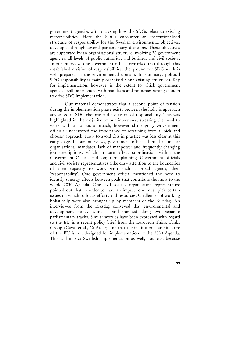government agencies with analysing how the SDGs relate to existing responsibilities. Here the SDGs encounter an institutionalised structure of responsibility for the Swedish environmental objectives, developed through several parliamentary decisions. These objectives are supported by an organisational structure involving 26 government agencies, all levels of public authority, and business and civil society. In our interview, one government official remarked that through this established division of responsibilities, the ground for SDG work is well prepared in the environmental domain. In summary, political SDG responsibility is mainly organised along existing structures. Key for implementation, however, is the extent to which government agencies will be provided with mandates and resources strong enough to drive SDG implementation.

 Our material demonstrates that a second point of tension during the implementation phase exists between the holistic approach advocated in SDG rhetoric and a division of responsibility. This was highlighted in the majority of our interviews, stressing the need to work with a holistic approach, however challenging. Government officials underscored the importance of refraining from a 'pick and choose' approach. How to avoid this in practice was less clear at this early stage. In our interviews, government officials hinted at unclear organisational mandates, lack of manpower and frequently changing job descriptions, which in turn affect coordination within the Government Offices and long-term planning. Government officials and civil society representatives alike draw attention to the boundaries of their capacity to work with such a broad agenda, their 'responsability'. One government official mentioned the need to identify synergy effects between goals that contribute the most to the whole 2030 Agenda. One civil society organisation representative pointed out that in order to have an impact, one must pick certain issues on which to focus efforts and resources. Challenges of working holistically were also brought up by members of the Riksdag. An interviewee from the Riksdag conveyed that environmental and development policy work is still pursued along two separate parliamentary tracks. Similar worries have been expressed with regard to the EU in a recent policy brief from the European Think Tanks Group (Gavas et al., 2016), arguing that the institutional architecture of the EU is not designed for implementation of the 2030 Agenda. This will impact Swedish implementation as well, not least because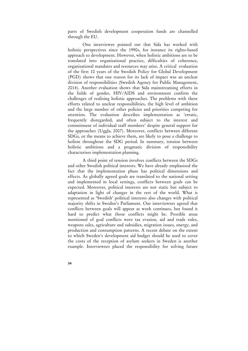parts of Swedish development cooperation funds are channelled through the EU.

 One interviewee pointed out that Sida has worked with holistic perspectives since the 1990s, for instance its rights-based approach to development. However, when holistic ambitions are to be translated into organisational practice, difficulties of coherence, organisational mandates and resources may arise. A critical evaluation of the first 10 years of the Swedish Policy for Global Development (PGD) shows that one reason for its lack of impact was an unclear division of responsibilities (Swedish Agency for Public Management, 2014). Another evaluation shows that Sida mainstreaming efforts in the fields of gender, HIV/AIDS and environment confirm the challenges of realising holistic approaches. The problems with these efforts related to unclear responsibilities, the high level of ambition and the large number of other policies and priorities competing for attention. The evaluation describes implementation as 'erratic, frequently disregarded, and often subject to the interest and commitment of individual staff members' despite general support for the approaches (Uggla, 2007). Moreover, conflicts between different SDGs, or the means to achieve them, are likely to pose a challenge to holism throughout the SDG period. In summary, tension between holistic ambitions and a pragmatic division of responsibility characterises implementation planning.

 A third point of tension involves conflicts between the SDGs and other Swedish political interests. We have already emphasised the fact that the implementation phase has political dimensions and effects. As globally agreed goals are translated to the national setting and implemented in local settings, conflicts between goals can be expected. Moreover, political interests are not static but subject to adaptation in light of changes in the rest of the world. What is represented as 'Swedish' political interests also changes with political majority shifts in Sweden's Parliament. Our interviewees agreed that conflicts between goals will appear as work continues, but found it hard to predict what those conflicts might be. Possible areas mentioned of goal conflicts were tax evasion, aid and trade rules, weapons sales, agriculture and subsidies, migration issues, energy, and production and consumption patterns. A recent debate on the extent to which Sweden's development aid budget should be used to cover the costs of the reception of asylum seekers in Sweden is another example. Interviewees placed the responsibility for solving future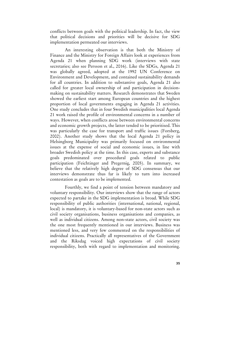conflicts between goals with the political leadership. In fact, the view that political decisions and priorities will be decisive for SDG implementation permeated our interviews.

 An interesting observation is that both the Ministry of Finance and the Ministry for Foreign Affairs look at experiences from Agenda 21 when planning SDG work (interviews with state secretaries; also see Persson et al., 2016). Like the SDGs, Agenda 21 was globally agreed, adopted at the 1992 UN Conference on Environment and Development, and contained sustainability demands for all countries. In addition to substantive goals, Agenda 21 also called for greater local ownership of and participation in decisionmaking on sustainability matters. Research demonstrates that Sweden showed the earliest start among European countries and the highest proportion of local governments engaging in Agenda 21 activities. One study concludes that in four Swedish municipalities local Agenda 21 work raised the profile of environmental concerns in a number of ways. However, when conflicts arose between environmental concerns and economic growth projects, the latter tended to be prioritised. This was particularly the case for transport and traffic issues (Forsberg, 2002). Another study shows that the local Agenda 21 policy in Helsingborg Municipality was primarily focused on environmental issues at the expense of social and economic issues, in line with broader Swedish policy at the time. In this case, experts and substance goals predominated over procedural goals related to public participation (Feichtinger and Pregernig, 2005). In summary, we believe that the relatively high degree of SDG consensus that our interviews demonstrate thus far is likely to turn into increased contestation as goals are to be implemented.

 Fourthly, we find a point of tension between mandatory and voluntary responsibility. Our interviews show that the range of actors expected to partake in the SDG implementation is broad. While SDG responsibility of public authorities (international, national, regional, local) is mandatory, it is voluntary-based for non-state actors such as civil society organisations, business organisations and companies, as well as individual citizens. Among non-state actors, civil society was the one most frequently mentioned in our interviews. Business was mentioned less, and very few commented on the responsibilities of individual citizens. Practically all representatives of the Government and the Riksdag voiced high expectations of civil society responsibility, both with regard to implementation and monitoring.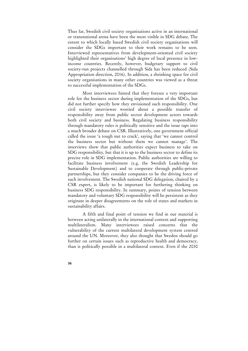Thus far, Swedish civil society organisations active in an international or transnational arena have been the most visible in SDG debate. The extent to which locally based Swedish civil society organisations will consider the SDGs important to their work remains to be seen. Interviewed representatives from development-oriented civil society highlighted their organisations' high degree of local presence in lowincome countries. Recently, however, budgetary support to civil society-run projects channelled through Sida has been reduced (Sida Appropriation direction, 2016). In addition, a shrinking space for civil society organisations in many other countries was viewed as a threat to successful implementation of the SDGs.

 Most interviewees hinted that they foresee a very important role for the business sector during implementation of the SDGs, but did not further specify how they envisioned such responsibility. One civil society interviewee worried about a possible transfer of responsibility away from public sector development actors towards both civil society and business. Regulating business responsibility through mandatory rules is politically sensitive and the issue taps into a much broader debate on CSR. Illustratively, one government official called the issue 'a tough nut to crack', saying that 'we cannot control the business sector but without them we cannot manage'. The interviews show that public authorities expect business to take on SDG responsibility, but that it is up to the business sector to define its precise role in SDG implementation. Public authorities are willing to facilitate business involvement (e.g. the Swedish Leadership for Sustainable Development) and to cooperate through public-private partnerships, but they consider companies to be the driving force of such involvement. The Swedish national SDG delegation, chaired by a CSR expert, is likely to be important for furthering thinking on business SDG responsibility. In summary, points of tension between mandatory and voluntary SDG responsibility will be persistent as they originate in deeper disagreements on the role of states and markets in sustainability affairs.

 A fifth and final point of tension we find in our material is between acting unilaterally in the international context and supporting multilateralism. Many interviewees raised concerns that the vulnerability of the current multilateral development system centred around the UN. Moreover, they also thought that Sweden should go further on certain issues such as reproductive health and democracy, than is politically possible in a multilateral context. Even if the 2030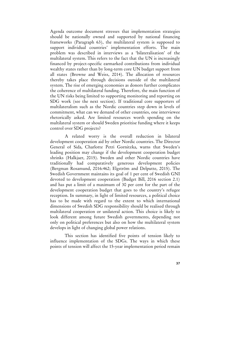Agenda outcome document stresses that implementation strategies should be nationally owned and supported by national financing frameworks (Paragraph 63), the multilateral system is supposed to support individual countries' implementation efforts. The main problem was described in interviews as a 'bilateralisation' of the multilateral system. This refers to the fact that the UN is increasingly financed by project-specific earmarked contributions from individual wealthy states rather than by long-term core UN budget support from all states (Browne and Weiss, 2014). The allocation of resources thereby takes place through decisions outside of the multilateral system. The rise of emerging economies as donors further complicates the coherence of multilateral funding. Therefore, the main function of the UN risks being limited to supporting monitoring and reporting on SDG work (see the next section). If traditional core supporters of multilateralism such as the Nordic countries step down in levels of commitment, what can we demand of other countries, one interviewee rhetorically asked. Are limited resources worth spending on the multilateral system or should Sweden prioritise funding where it keeps control over SDG projects?

 A related worry is the overall reduction in bilateral development cooperation aid by other Nordic countries. The Director General of Sida, Charlotte Petri Gornitzka, warns that Sweden's leading position may change if the development cooperation budget shrinks (Halkjaer, 2015). Sweden and other Nordic countries have traditionally had comparatively generous development policies (Bergman Rosamund, 2016:462; Elgström and Delputte, 2015). The Swedish Government maintains its goal of 1 per cent of Swedish GNI devoted to development cooperation (Budget Bill, 2016 section 2.1) and has put a limit of a maximum of 30 per cent for the part of the development cooperation budget that goes to the country's refugee reception. In summary, in light of limited resources, a political choice has to be made with regard to the extent to which international dimensions of Swedish SDG responsibility should be realised through multilateral cooperation or unilateral action. This choice is likely to look different among future Swedish governments, depending not only on political preferences but also on how the multilateral system develops in light of changing global power relations.

 This section has identified five points of tension likely to influence implementation of the SDGs. The ways in which these points of tension will affect the 15-year implementation period remain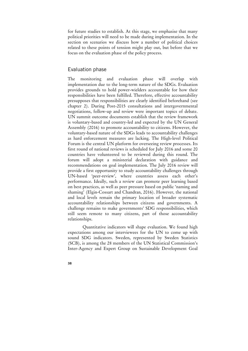for future studies to establish. At this stage, we emphasise that many political priorities will need to be made during implementation. In the section on scenarios we discuss how a number of political choices related to these points of tension might play out, but before that we focus on the evaluation phase of the policy process.

## Evaluation phase

The monitoring and evaluation phase will overlap with implementation due to the long-term nature of the SDGs. Evaluation provides grounds to hold power-wielders accountable for how their responsibilities have been fulfilled. Therefore, effective accountability presupposes that responsibilities are clearly identified beforehand (see chapter 2). During Post-2015 consultations and intergovernmental negotiations, follow-up and review were important topics of debate. UN summit outcome documents establish that the review framework is voluntary-based and country-led and expected by the UN General Assembly (2016) to promote accountability to citizens. However, the voluntary-based nature of the SDGs leads to accountability challenges as hard enforcement measures are lacking. The High-level Political Forum is the central UN platform for overseeing review processes. Its first round of national reviews is scheduled for July 2016 and some 20 countries have volunteered to be reviewed during this round. The forum will adopt a ministerial declaration with guidance and recommendations on goal implementation. The July 2016 review will provide a first opportunity to study accountability challenges through UN-based 'peer-review', where countries assess each other's performance. Ideally, such a review can promote peer learning based on best practices, as well as peer pressure based on public 'naming and shaming' (Elgin-Cossart and Chandran, 2016). However, the national and local levels remain the primary location of broader systematic accountability relationships between citizens and governments. A challenge remains to make governments' SDG responsibilities, which still seem remote to many citizens, part of those accountability relationships.

 Quantitative indicators will shape evaluation. We found high expectations among our interviewees for the UN to come up with sound SDG indicators. Sweden, represented by Sweden Statistics (SCB), is among the 28 members of the UN Statistical Commission's Inter-Agency and Expert Group on Sustainable Development Goal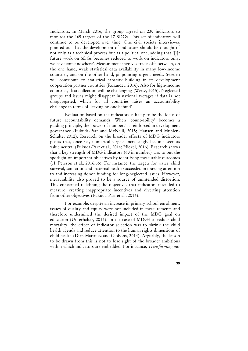Indicators. In March 2016, the group agreed on 230 indicators to monitor the 169 targets of the 17 SDGs. This set of indicators will continue to be developed over time. One civil society interviewee pointed out that the development of indicators should be thought of not only as a technical process but as a political one, adding that '[i]f future work on SDGs becomes reduced to work on indicators only, we have come nowhere'. Measurement involves trade-offs between, on the one hand, weak statistical data availability in many low-income countries, and on the other hand, pinpointing urgent needs. Sweden will contribute to statistical capacity building in its development cooperation partner countries (Rosander, 2016). Also for high-income countries, data collection will be challenging (Weitz, 2015). Neglected groups and issues might disappear in national averages if data is not disaggregated, which for all countries raises an accountability challenge in terms of 'leaving no one behind'.

 Evaluation based on the indicators is likely to be the focus of future accountability demands. When 'count-ability' becomes a guiding principle, the 'power of numbers' is reinforced in development governance (Fukuda-Parr and McNeill, 2015; Hansen and Muhlen-Schulte, 2012). Research on the broader effects of MDG indicators posits that, once set, numerical targets increasingly become seen as value neutral (Fukuda-Parr et al., 2014; Hickel, 2016). Research shows that a key strength of MDG indicators (60 in number) was to put the spotlight on important objectives by identifying measurable outcomes (cf. Persson et al., 2016:66). For instance, the targets for water, child survival, sanitation and maternal health succeeded in drawing attention to and increasing donor funding for long-neglected issues. However, measurability also proved to be a source of unintended distortion. This concerned redefining the objectives that indicators intended to measure, creating inappropriate incentives and diverting attention from other objectives (Fukuda-Parr et al., 2014).

 For example, despite an increase in primary school enrolment, issues of quality and equity were not included in measurements and therefore undermined the desired impact of the MDG goal on education (Unterhalter, 2014). In the case of MDG4 to reduce child mortality, the effect of indicator selection was to shrink the child health agenda and reduce attention to the human rights dimensions of child health (Diaz-Martinez and Gibbons, 2014). Arguably, the lesson to be drawn from this is not to lose sight of the broader ambitions within which indicators are embedded. For instance, *Transforming our*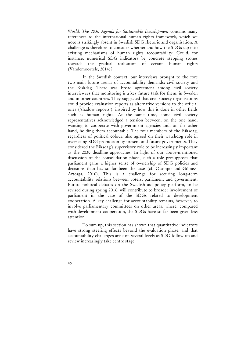*World: The 2030 Agenda for Sustainable Development* contains many references to the international human rights framework, which we note is strikingly absent in Swedish SDG rhetoric and organisation. A challenge is therefore to consider whether and how the SDGs tap into existing mechanisms of human rights accountability. Could, for instance, numerical SDG indicators be concrete stepping stones towards the gradual realisation of certain human rights (Vandemoortele, 2014)?

 In the Swedish context, our interviews brought to the fore two main future arenas of accountability demands: civil society and the Riskdag. There was broad agreement among civil society interviewees that monitoring is a key future task for them, in Sweden and in other countries. They suggested that civil society organisations could provide evaluation reports as alternative versions to the official ones ('shadow reports'), inspired by how this is done in other fields such as human rights. At the same time, some civil society representatives acknowledged a tension between, on the one hand, wanting to cooperate with government agencies and, on the other hand, holding them accountable. The four members of the Riksdag, regardless of political colour, also agreed on their watchdog role in overseeing SDG promotion by present and future governments. They considered the Riksdag's supervisory role to be increasingly important as the 2030 deadline approaches. In light of our above-mentioned discussion of the consolidation phase, such a role presupposes that parliament gains a higher sense of ownership of SDG policies and decisions than has so far been the case (cf. Ocampo and Gómez-Arteaga, 2016). This is a challenge for securing long-term accountability relations between voters, parliament and government. Future political debates on the Swedish aid policy platform, to be revised during spring 2016, will contribute to broader involvement of parliament in the case of the SDGs related to development cooperation. A key challenge for accountability remains, however, to involve parliamentary committees on other areas, where, compared with development cooperation, the SDGs have so far been given less attention.

 To sum up, this section has shown that quantitative indicators have strong steering effects beyond the evaluation phase, and that accountability challenges arise on several levels as SDG follow-up and review increasingly take centre stage.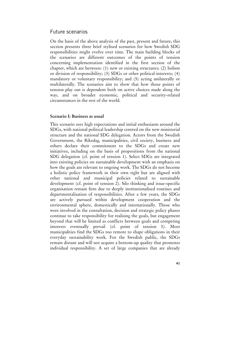### Future scenarios

On the basis of the above analysis of the past, present and future, this section presents three brief stylised scenarios for how Swedish SDG responsibilities might evolve over time. The main building blocks of the scenarios are different outcomes of the points of tension concerning implementation identified in the first section of the chapter, which are between: (1) new or existing structures; (2) holism or division of responsibility; (3) SDGs or other political interests; (4) mandatory or voluntary responsibility; and (5) acting unilaterally or multilaterally. The scenarios aim to show that how those points of tension play out is dependent both on active choices made along the way, and on broader economic, political and security-related circumstances in the rest of the world.

## **Scenario I: Business as usual**

This scenario sees high expectations and initial enthusiasm around the SDGs, with national political leadership centred on the new ministerial structure and the national SDG delegation. Actors from the Swedish Government, the Riksdag, municipalities, civil society, business and others declare their commitment to the SDGs and create new initiatives, including on the basis of propositions from the national SDG delegation (cf. point of tension 1). Select SDGs are integrated into existing policies on sustainable development with an emphasis on how the goals are relevant to ongoing work. The SDGs do not become a holistic policy framework in their own right but are aligned with other national and municipal policies related to sustainable development (cf. point of tension 2). Silo thinking and issue-specific organisation remain firm due to deeply institutionalised routines and departmentalisation of responsibilities. After a few years, the SDGs are actively pursued within development cooperation and the environmental sphere, domestically and internationally. Those who were involved in the consultation, decision and strategic policy phases continue to take responsibility for realising the goals, but engagement beyond that will be limited as conflicts between goals and competing interests eventually prevail (cf. point of tension 3). Most municipalities find the SDGs too remote to shape obligations in their everyday sustainability work. For the Swedish public, the SDGs remain distant and will not acquire a bottom-up quality that promotes individual responsibility. A set of large companies that are already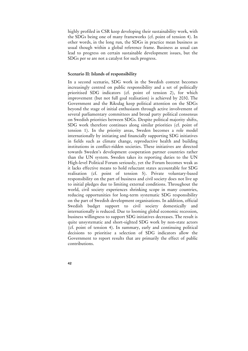highly profiled in CSR keep developing their sustainability work, with the SDGs being one of many frameworks (cf. point of tension 4). In other words, in the long run, the SDGs in practice mean business as usual though within a global reference frame. Business as usual can lead to progress on certain sustainable development issues, but the SDGs per se are not a catalyst for such progress.

#### **Scenario II: Islands of responsibility**

In a second scenario, SDG work in the Swedish context becomes increasingly centred on public responsibility and a set of politically prioritised SDG indicators (cf. point of tension 2), for which improvement (but not full goal realisation) is achieved by 2030. The Government and the Riksdag keep political attention on the SDGs beyond the stage of initial enthusiasm through active involvement of several parliamentary committees and broad party political consensus on Swedish priorities between SDGs. Despite political majority shifts, SDG work therefore continues along similar priorities (cf. point of tension 1). In the priority areas, Sweden becomes a role model internationally by initiating and financially supporting SDG initiatives in fields such as climate change, reproductive health and building institutions in conflict-ridden societies. These initiatives are directed towards Sweden's development cooperation partner countries rather than the UN system. Sweden takes its reporting duties to the UN High-level Political Forum seriously, yet the Forum becomes weak as it lacks effective means to hold reluctant states accountable for SDG realisation (cf. point of tension 5). Private voluntary-based responsibility on the part of business and civil society does not live up to initial pledges due to limiting external conditions. Throughout the world, civil society experiences shrinking scope in many countries, reducing opportunities for long-term systematic SDG responsibility on the part of Swedish development organisations. In addition, official Swedish budget support to civil society domestically and internationally is reduced. Due to looming global economic recession, business willingness to support SDG initiatives decreases. The result is quite unsystematic and short-sighted SDG work by non-state actors (cf. point of tension 4). In summary, early and continuing political decisions to prioritise a selection of SDG indicators allow the Government to report results that are primarily the effect of public contributions.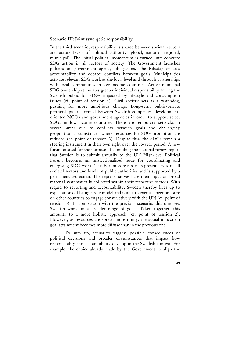## **Scenario III: Joint synergetic responsibility**

In the third scenario, responsibility is shared between societal sectors and across levels of political authority (global, national, regional, municipal). The initial political momentum is turned into concrete SDG action in all sectors of society. The Government launches policies on government agency obligations. The Riksdag ensures accountability and debates conflicts between goals. Municipalities activate relevant SDG work at the local level and through partnerships with local communities in low-income countries. Active municipal SDG ownership stimulates greater individual responsibility among the Swedish public for SDGs impacted by lifestyle and consumption issues (cf. point of tension 4). Civil society acts as a watchdog, pushing for more ambitious change. Long-term public-private partnerships are formed between Swedish companies, developmentoriented NGOs and government agencies in order to support select SDGs in low-income countries. There are temporary setbacks in several areas due to conflicts between goals and challenging geopolitical circumstances where resources for SDG promotion are reduced (cf. point of tension 3). Despite this, the SDGs remain a steering instrument in their own right over the 15-year period. A new forum created for the purpose of compiling the national review report that Sweden is to submit annually to the UN High-level Political Forum becomes an institutionalised node for coordinating and energising SDG work. The Forum consists of representatives of all societal sectors and levels of public authorities and is supported by a permanent secretariat. The representatives base their input on broad material systematically collected within their respective sectors. With regard to reporting and accountability, Sweden thereby lives up to expectations of being a role model and is able to exercise peer pressure on other countries to engage constructively with the UN (cf. point of tension 5). In comparison with the previous scenario, this one sees Swedish work on a broader range of goals. Taken together, this amounts to a more holistic approach (cf. point of tension 2). However, as resources are spread more thinly, the actual impact on goal attainment becomes more diffuse than in the previous one.

 To sum up, scenarios suggest possible consequences of political decisions and broader circumstances that impact how responsibility and accountability develop in the Swedish context. For example, the choice already made by the Government to align the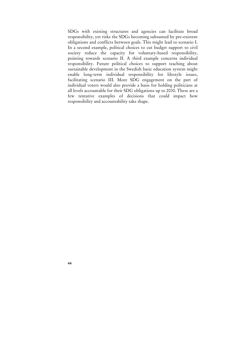SDGs with existing structures and agencies can facilitate broad responsibility, yet risks the SDGs becoming subsumed by pre-existent obligations and conflicts between goals. This might lead to scenario I. In a second example, political choices to cut budget support to civil society reduce the capacity for voluntary-based responsibility, pointing towards scenario II. A third example concerns individual responsibility. Future political choices to support teaching about sustainable development in the Swedish basic education system might enable long-term individual responsibility for lifestyle issues, facilitating scenario III. More SDG engagement on the part of individual voters would also provide a basis for holding politicians at all levels accountable for their SDG obligations up to 2030. These are a few tentative examples of decisions that could impact how responsibility and accountability take shape.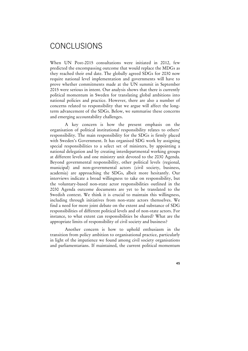# **CONCLUSIONS**

When UN Post-2015 consultations were initiated in 2012, few predicted the encompassing outcome that would replace the MDGs as they reached their end date. The globally agreed SDGs for 2030 now require national level implementation and governments will have to prove whether commitments made at the UN summit in September 2015 were serious in intent. Our analysis shows that there is currently political momentum in Sweden for translating global ambitions into national policies and practice. However, there are also a number of concerns related to responsibility that we argue will affect the longterm advancement of the SDGs. Below, we summarise these concerns and emerging accountability challenges.

 A key concern is how the present emphasis on the organisation of political institutional responsibility relates to others' responsibility. The main responsibility for the SDGs is firmly placed with Sweden's Government. It has organised SDG work by assigning special responsibilities to a select set of ministers, by appointing a national delegation and by creating interdepartmental working groups at different levels and one ministry unit devoted to the 2030 Agenda. Beyond governmental responsibility, other political levels (regional, municipal) and non-governmental actors (civil society, business, academia) are approaching the SDGs, albeit more hesitantly. Our interviews indicate a broad willingness to take on responsibility, but the voluntary-based non-state actor responsibilities outlined in the 2030 Agenda outcome documents are yet to be translated to the Swedish context. We think it is crucial to maintain this willingness, including through initiatives from non-state actors themselves. We find a need for more joint debate on the extent and substance of SDG responsibilities of different political levels and of non-state actors. For instance, to what extent can responsibilities be shared? What are the appropriate limits of responsibility of civil society and business?

 Another concern is how to uphold enthusiasm in the transition from policy ambition to organisational practice, particularly in light of the impatience we found among civil society organisations and parliamentarians. If maintained, the current political momentum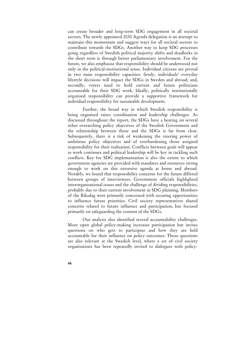can create broader and long-term SDG engagement in all societal sectors. The newly appointed 2030 Agenda delegation is an attempt to maintain this momentum and suggest ways for all societal sectors to contribute towards the SDGs. Another way to keep SDG processes going regardless of Swedish political majority shifts and deadlocks in the short term is through better parliamentary involvement. For the future, we also emphasise that responsibility should be understood not only in the political-institutional sense. Individual citizens are pivotal in two main responsibility capacities: firstly, individuals' everyday lifestyle decisions will impact the SDGs in Sweden and abroad; and, secondly, voters need to hold current and future politicians accountable for their SDG work. Ideally, politically institutionally organised responsibility can provide a supportive framework for individual responsibility for sustainable development.

 Further, the broad way in which Swedish responsibility is being organised raises coordination and leadership challenges. As discussed throughout the report, the SDGs have a bearing on several other overarching policy objectives of the Swedish Government and the relationship between those and the SDGs is far from clear. Subsequently, there is a risk of weakening the steering power of ambitious policy objectives and of overburdening those assigned responsibility for their realisation. Conflicts between goals will appear as work continues and political leadership will be key in tackling such conflicts. Key for SDG implementation is also the extent to which government agencies are provided with mandates and resources strong enough to work on this extensive agenda at home and abroad. Notably, we found that responsibility concerns for the future differed between groups of interviewees. Government officials highlighted interorganisational issues and the challenge of dividing responsibilities, probably due to their current involvement in SDG planning. Members of the Riksdag were primarily concerned with securing opportunities to influence future priorities. Civil society representatives shared concerns related to future influence and participation, but focused primarily on safeguarding the content of the SDGs.

 Our analysis also identified several accountability challenges. More open global policy-making increases participation but invites questions on who gets to participate and how they are held accountable for their influence on policy outcomes. Those questions are also relevant at the Swedish level, where a set of civil society organisations has been repeatedly invited to dialogues with policy-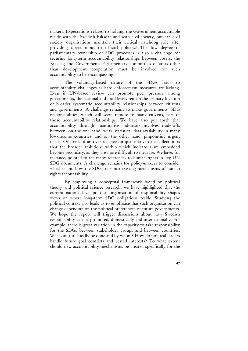makers. Expectations related to holding the Government accountable reside with the Swedish Riksdag and with civil society, but can civil society organisations maintain their critical watchdog role after providing direct input to official policies? The low degree of parliamentary ownership of SDG processes is also a challenge for securing long-term accountability relationships between voters, the Riksdag and Government. Parliamentary committees of areas other than development cooperation must be involved for such accountability to be encompassing.

 The voluntary-based nature of the SDGs leads to accountability challenges as hard enforcement measures are lacking. Even if UN-based review can promote peer pressure among governments, the national and local levels remain the primary location of broader systematic accountability relationships between citizens and governments. A challenge remains to make governments' SDG responsibilities, which still seem remote to many citizens, part of those accountability relationships. We have also put forth that accountability through quantitative indicators involves trade-offs between, on the one hand, weak statistical data availability in many low-income countries, and on the other hand, pinpointing urgent needs. One risk of an over-reliance on quantitative data collection is that the broader ambitions within which indicators are embedded become secondary, as they are more difficult to measure. We have, for instance, pointed to the many references to human rights in key UN SDG documents. A challenge remains for policy-makers to consider whether and how the SDGs tap into existing mechanisms of human rights accountability.

 By employing a conceptual framework based on political theory and political science research, we have highlighted that the current national-level political organisation of responsibility shapes views on where long-term SDG obligations reside. Studying the political context also leads us to emphasise that such organisation can change depending on the political preferences of future governments. We hope the report will trigger discussions about how Swedish responsibility can be promoted, domestically and internationally. For example, there is great variation in the capacity to take responsibility for the SDGs between stakeholder groups and between countries. What can realistically be done and by whom? How do political leaders handle future goal conflicts and vested interests? To what extent should new accountability mechanisms be created specifically for the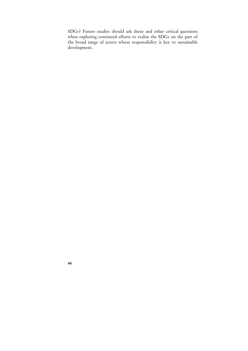SDGs? Future studies should ask those and other critical questions when exploring continued efforts to realise the SDGs on the part of the broad range of actors whose responsibility is key to sustainable development.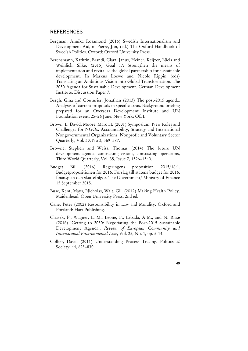## **REFERENCES**

- Bergman, Annika Rosamond (2016) Swedish Internationalism and Development Aid, in Pierre, Jon, (ed.) The Oxford Handbook of Swedish Politics. Oxford: Oxford University Press.
- Berensmann, Kathrin, Brandi, Clara, Janus, Heiner, Keijzer, Niels and Weinlich, Silke, (2015) Goal 17: Strengthen the means of implementation and revitalise the global partnership for sustainable development. In Markus Loewe and Nicole Rippin (eds) Translating an Ambitious Vision into Global Transformation. The 2030 Agenda for Sustainable Development. German Development Institute, Discussion Paper 7.
- Bergh, Gina and Couturier, Jonathan (2013) The post-2015 agenda: Analysis of current proposals in specific areas. Background briefing prepared for an Overseas Development Institute and UN Foundation event, 25–26 June. New York: ODI.
- Brown, L. David, Moore, Marc H. (2001) Symposium: New Roles and Challenges for NGOs. Accountability, Strategy and International Nongovernmental Organizations. Nonprofit and Voluntary Sector Quarterly, Vol. 30, No 3, 569–587.
- Browne, Stephen and Weiss, Thomas (2014) The future UN development agenda: contrasting visions, contrasting operations, Third World Quarterly, Vol. 35, Issue 7, 1326–1340.
- Budget Bill (2016) Regeringens proposition 2015/16:1. Budgetpropositionen för 2016. Förslag till statens budget för 2016, finansplan och skattefrågor. The Government/ Ministry of Finance 15 September 2015.
- Buse, Kent, Mays, Nicholas, Walt, Gill (2012) Making Health Policy. Maidenhead: Open University Press. 2nd ed.
- Cane, Peter (2002) Responsibility in Law and Morality. Oxford and Portland: Hart Publishing.
- Chasek, P., Wagner, L. M., Leone, F., Lebada, A-M., and N. Risse (2016) 'Getting to 2030: Negotiating the Post-2015 Sustainable Development Agenda', *Review of European Community and International Environmental Law*, Vol. 25, No. 1, pp. 5-14.
- Collier, David (2011) Understanding Process Tracing. Politics & Society, 44, 823–830.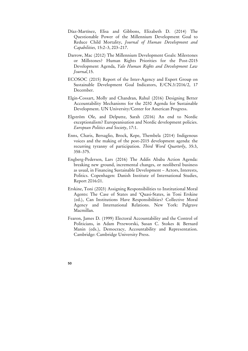- Díaz-Martínez, Elisa and Gibbons, Elizabeth D. (2014) The Questionable Power of the Millennium Development Goal to Reduce Child Mortality, *Journal of Human Development and Capabilities,* 15:2–3, 203–217.
- Darrow, Mac (2012) The Millennium Development Goals: Milestones or Millstones? Human Rights Priorities for the Post-2015 Development Agenda, *Yale Human Rights and Development Law Journal,*15.
- ECOSOC (2015) Report of the Inter-Agency and Expert Group on Sustainable Development Goal Indicators, E/CN.3/2016/2, 17 December.
- Elgin-Cossart, Molly and Chandran, Rahul (2016) Designing Better Accountability Mechanisms for the 2030 Agenda for Sustainable Development. UN University/Center for American Progress.
- Elgström Ole, and Delputte, Sarah (2016) An end to Nordic exceptionalism? Europeanisation and Nordic development policies. *European Politics and Society*, 17:1.
- Enns, Charis, Bersaglio, Brock, Kepe, Thembela (2014) Indigenous voices and the making of the post-2015 development agenda: the recurring tyranny of participation. *Third Word Quarterly*, 35:3, 358–375.
- Engberg-Pedersen, Lars (2016) The Addis Ababa Action Agenda: breaking new ground, incremental changes, or neoliberal business as usual, in Financing Sustainable Development – Actors, Interests, Politics. Copenhagen: Danish Institute of International Studies, Report 2016:01.
- Erskine, Toni (2003) Assigning Responsibilities to Institutional Moral Agents: The Case of States and 'Quasi-States, in Toni Erskine (ed.), Can Institutions Have Responsibilities? Collective Moral Agency and International Relations. New York: Palgrave Macmillan.
- Fearon, James D. (1999) Electoral Accountability and the Control of Politicians, in Adam Przeworski, Susan C. Stokes & Bernard Manin (eds.), Democracy, Accountability and Representation. Cambridge: Cambridge University Press.
- **50**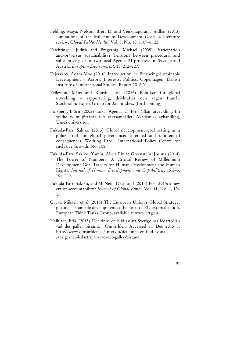- Fehling, Maya, Nelson, Brett D. and Venkatapuram, Sridhar (2013) Limitations of the Millennium Development Goals: a literature review, *Global Public Health,* Vol. 8, No. 10, 1109–1122.
- Feichtinger, Judith and Pregernig, Michael (2005) Participation and/or/versus sustainability? Tensions between procedural and substantive goals in two local Agenda 21 processes in Sweden and Austria, *European Environment,* 15, 212–227.
- Fejerskov, Adam Moe (2016) Introduction, in Financing Sustainable Development – Actors, Interests, Politics. Copenhagen: Danish Institute of International Studies, Report 2016:01.
- Fellesson, Måns and Román, Lisa (2016) Politiken för global utveckling – rapportering, drivkrafter och vägen framåt. Stockholm: Expert Group for Aid Studies. (forthcoming)
- Forsberg, Björn (2002) Lokal Agenda 21 för hållbar utveckling. En studie av miljöfrågan i tillväxtsamhället. Akademisk avhandling, Umeå universitet.
- Fukuda-Parr, Sakiko (2013) Global development goal setting as a policy tool for global governance: Intended and unintended consequences, Working Paper, International Policy Centre for Inclusive Growth, No. 108
- Fukuda-Parr, Sakiko, Yamin, Alicia Ely & Greenstein, Joshua (2014) The Power of Numbers: A Critical Review of Millennium Development Goal Targets for Human Development and Human Rights, *Journal of Human Development and Capabilities*, 15:2–3, 105–117.
- Fukuda-Parr, Sakiko, and McNeill, Desmond (2015) Post 2015: a new era of accountability? *Journal of Global Ethics*, Vol. 11, No. 1, 10– 17.
- Gavas, Mikaela et al (2016) The European Union's Global Strategy: putting sustainable development at the heart of EU external action. European Think Tanks Group, available at www.ettg.eu.
- Halkjaer, Erik (2015) Det finns en bild av att Sverige har ledartröjan vad det gäller bistånd. Omvärlden. Accessed 11 Dec 2015 at http://www.omvarlden.se/Intervju/det-finns-en-bild-av-attsverige-har-ledartrojan-vad-det-galler-bistand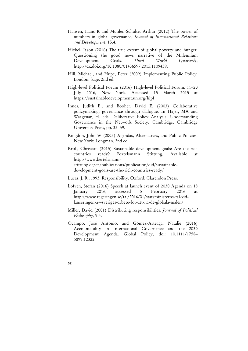- Hansen, Hans K and Muhlen-Schulte, Arthur (2012) The power of numbers in global governance, *Journal of International Relations and Development*, 15:4.
- Hickel, Jason (2016) The true extent of global poverty and hunger: Questioning the good news narrative of the Millennium Development Goals. *Third World Quarterly*, http://dx.doi.org/10.1080/01436597.2015.1109439.
- Hill, Michael, and Hupe, Peter (2009) Implementing Public Policy. London: Sage. 2nd ed.
- High-level Political Forum (2016) High-level Political Forum, 11–20 July 2016, New York. Accessed 15 March 2015 at https://sustainabledevelopment.un.org/hlpf
- Innes, Judith E., and Booher, David E. (2003) Collaborative policymaking: governance through dialogue. In Hajer, MA and Waagenar, H. eds. Deliberative Policy Analysis. Understanding Governance in the Network Society. Cambridge: Cambridge University Press, pp. 33–59.
- Kingdon, John W (2003) Agendas, Alternatives, and Public Policies. New York: Longman. 2nd ed.
- Kroll, Christian (2015) Sustainable development goals: Are the rich countries ready? Bertelsmann Stiftung. Available at http://www.bertelsmannstiftung.de/en/publications/publication/did/sustainabledevelopment-goals-are-the-rich-countries-ready/
- Lucas, J. R., 1993. Responsibility. Oxford: Clarendon Press.
- Löfvén, Stefan (2016) Speech at launch event of 2030 Agenda on 18 January 2016, accessed 5 February 2016 at http://www.regeringen.se/tal/2016/01/statsministerns-tal-vidlanseringen-av-sveriges-arbete-for-att-na-de-globala-malen/
- Miller, David (2001) Distributing responsibilities, *Journal of Political Philosophy,* 9:4.
- Ocampo, José Antonio, and Gómez-Arteaga, Natalie (2016) Accountability in International Governance and the 2030 Development Agenda. Global Policy, doi: 10.1111/1758– 5899.12322
- **52**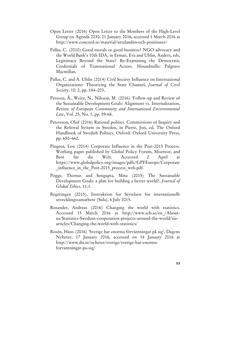- Open Letter (2016) Open Letter to the Members of the High-Level Group on Agenda 2030, 21 January 2016, accessed 1 March 2016 at http://www.concord.se/material/uttalanden-och-positioner/
- Pallas, C. (2010) Good morals or good business? NGO advocacy and the World Bank's 10th IDA, in Erman, Eva and Uhlin, Anders, eds, Legitimacy Beyond the State? Re-Examining the Democratic Credentials of Transnational Actors. Houndmills: Palgrave Macmillan.
- Pallas, C. and A. Uhlin (2014) Civil Society Influence on International Organizations: Theorizing the State Channel, *Journal of Civil Society*, 10: 2, pp. 184–203.
- Persson, Å., Weitz, N., Nilsson, M. (2016) 'Follow-up and Review of the Sustainable Development Goals: Alignment vs. Internalization, *Review of European Community and International Environmental Law*, Vol. 25, No. 1, pp. 59-68.
- Petersson, Olof (2016) Rational politics. Commissions of Inquiry and the Referral System in Sweden, in Pierre, Jon, ed. The Oxford Handbook of Swedish Politics. Oxford: Oxford University Press, pp. 650–662.
- Pingeot, Lou (2014) Corporate Influence in the Post-2015 Process. Working paper published by Global Policy Forum, Misereor, and Brot für die Welt. Accessed 2 April at https://www.globalpolicy.org/images/pdfs/GPFEurope/Corporate influence in the Post-2015 process web.pdf.
- Pogge, Thomas and Sengupta, Mitu (2015) The Sustainable Development Goals: a plan for building a better world?, *Journal of Global Ethics*, 11:1.
- Regeringen (2015), Instruktion for Styrelsen for internationellt utvecklingssamarbete (Sida), 6 July 2015.
- Rosander, Andreas (2016) Changing the world with statistics. Accessed 15 March 2016 at http://www.scb.se/en\_/Aboutus/Statistics-Swedens-cooperation-projects-around-the-world/siaarticles/Changing-the-world-with-statistics/
- Rosén, Hans (2016) 'Sverige har enorma förväntningar på sig', Dagens Nyheter, 17 January 2016, accessed on 18 January 2016 at http://www.dn.se/nyheter/sverige/sverige-har-enormaforvantningar-pa-sig/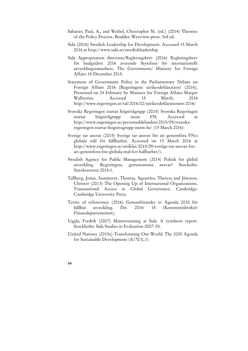- Sabatier, Paul, A., and Weibel, Christopher M. (ed.) (2014) Theories of the Policy Process. Boulder: Westview press. 3rd ed.
- Sida (2016) Swedish Leadership for Development. Accessed 15 March 2016 at http://www.sida.se/swedishleadership
- Sida Appropriation direction/Regleringsbrev (2016) Regleringsbrev för budgetåret 2016 avseende Styrelsen för internationellt utvecklingssamarbete. The Government/ Ministry for Foreign Affairs 18 December 2015.
- Statement of Government Policy in the Parliamentary Debate on Foreign Affairs 2016 (Regeringens utrikesdeklaration) (2016), Presented on 24 February by Minister for Foreign Affairs Margot Wallström. Accessed 15 March, 2016 http://www.regeringen.se/tal/2016/02/utrikesdeklarationen-2016/
- Svenska Regeringen startar högnivågrupp (2015) Svenska Regeringen startar högnivågrupp inom FN. Accessed http://www.regeringen.se/pressmeddelanden/2015/09/svenskaregeringen-startar-hognivagrupp-inom-fn/ (15 March 2016)
- Sverige tar ansvar (2015) Sverige tar ansvar för att genomföra FN:s globala mål för hållbarhet. Accessed on 15 March 2016 at http://www.regeringen.se/artiklar/2015/09/sverige-tar-ansvar-foratt-genomfora-fns-globala-mal-for-hallbarhet/).
- Swedish Agency for Public Management (2014) Politik for global utveckling. Regeringens gemensamma ansvar? Stockolm: Statskontoret 2014:1.
- Tallberg, Jonas, Sommerer, Thomas, Squatrito, Theresa and Jönsson, Christer (2013) The Opening Up of International Organizations. Transnational Access in Global Governance. Cambridge: Cambridge University Press.
- Terms of refererence (2016) Genomförandet av Agenda 2030 för hållbar utveckling. Dir. 2016: 18 (Kommittédirektiv Finansdepartementet).
- Uggla, Fredrik (2007) Mainstreaming at Sida. A synthesis report. Stockholm: Sida Studies in Evaluation 2007: 05.
- United Nations (2015a) Transforming Our World: The 2030 Agenda for Sustainable Development (A/70/L.1)
- **54**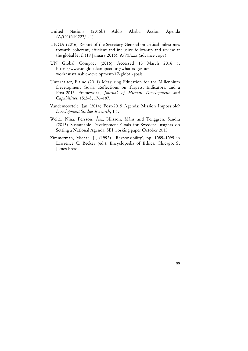- United Nations (2015b) Addis Ababa Action Agenda (A/CONF.227/L.1)
- UNGA (2016) Report of the Secretary-General on critical milestones towards coherent, efficient and inclusive follow-up and review at the global level (19 January 2016). A/70/xxx (advance copy)
- UN Global Compact (2016) Accessed 15 March 2016 at https://www.unglobalcompact.org/what-is-gc/ourwork/sustainable-development/17-global-goals
- Unterhalter, Elaine (2014) Measuring Education for the Millennium Development Goals: Reflections on Targets, Indicators, and a Post-2015 Framework, *Journal of Human Development and Capabilities,* 15:2–3, 176–187.
- Vandemoortele, Jan (2014) Post-2015 Agenda: Mission Impossible? *Development Studies Research*, 1:1.
- Weitz, Nina, Persson, Åsa, Nilsson, Måns and Tenggren, Sandra (2015) Sustainable Development Goals for Sweden: Insights on Setting a National Agenda. SEI working paper October 2015.
- Zimmerman, Michael J., (1992). 'Responsibility', pp. 1089–1095 in Lawrence C. Becker (ed.), Encyclopedia of Ethics. Chicago: St James Press.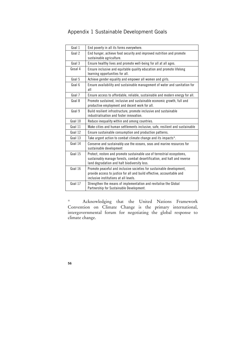## Appendix 1 Sustainable Development Goals

| Goal 1  | End poverty in all its forms everywhere.                                                                                                                                                            |
|---------|-----------------------------------------------------------------------------------------------------------------------------------------------------------------------------------------------------|
| Goal 2  | End hunger, achieve food security and improved nutrition and promote<br>sustainable agriculture.                                                                                                    |
| Goal 3  | Ensure healthy lives and promote well-being for all at all ages.                                                                                                                                    |
| Gosal 4 | Ensure inclusive and equitable quality education and promote lifelong<br>learning opportunities for all.                                                                                            |
| Goal 5  | Achieve gender equality and empower all women and girls.                                                                                                                                            |
| Goal 6  | Ensure availability and sustainable management of water and sanitation for<br>all                                                                                                                   |
| Goal 7  | Ensure access to affordable, reliable, sustainable and modern energy for all.                                                                                                                       |
| Goal 8  | Promote sustained, inclusive and sustainable economic growth, full and<br>productive employment and decent work for all.                                                                            |
| Goal 9  | Build resilient infrastructure, promote inclusive and sustainable<br>industrialisation and foster innovation.                                                                                       |
| Goal 10 | Reduce inequality within and among countries.                                                                                                                                                       |
| Goal 11 | Make cities and human settlements inclusive, safe, resilient and sustainable                                                                                                                        |
| Goal 12 | Ensure sustainable consumption and production patterns.                                                                                                                                             |
| Goal 13 | Take urgent action to combat climate change and its impacts*.                                                                                                                                       |
| Goal 14 | Conserve and sustainably use the oceans, seas and marine resources for<br>sustainable development                                                                                                   |
| Goal 15 | Protect, restore and promote sustainable use of terrestrial ecosystems,<br>sustainably manage forests, combat desertification, and halt and reverse<br>land degradation and halt biodiversity loss. |
| Goal 16 | Promote peaceful and inclusive societies for sustainable development,<br>provide access to justice for all and build effective, accountable and<br>inclusive institutions at all levels.            |
| Goal 17 | Strengthen the means of implementation and revitalise the Global<br>Partnership for Sustainable Development.                                                                                        |

\* Acknowledging that the United Nations Framework Convention on Climate Change is the primary international, intergovernmental forum for negotiating the global response to climate change.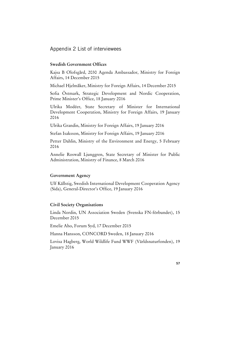Appendix 2 List of interviewees

#### **Swedish Government Offices**

Kajsa B Olofsgård, 2030 Agenda Ambassador, Ministry for Foreign Affairs, 14 December 2015

Michael Hjelmåker, Ministry for Foreign Affairs, 14 December 2015

Sofia Östmark, Strategic Development and Nordic Cooperation, Prime Minister's Office, 18 January 2016

Ulrika Modéer, State Secretary of Minister for International Development Cooperation, Ministry for Foreign Affairs, 19 January 2016

Ulrika Grandin, Ministry for Foreign Affairs, 19 January 2016

Stefan Isaksson, Ministry for Foreign Affairs, 19 January 2016

Petter Dahlin, Ministry of the Environment and Energy, 5 February 2016

Annelie Roswall Ljunggren, State Secretary of Minister for Public Administration, Ministry of Finance, 8 March 2016

#### **Government Agency**

Ulf Källstig, Swedish International Development Cooperation Agency (Sida), General-Director's Office, 19 January 2016

#### **Civil Society Organisations**

Linda Nordin, UN Association Sweden (Svenska FN-förbundet), 15 December 2015

Emelie Aho, Forum Syd, 17 December 2015

Hanna Hansson, CONCORD Sweden, 18 January 2016

Lovisa Hagberg, World Wildlife Fund WWF (Världsnaturfonden), 19 January 2016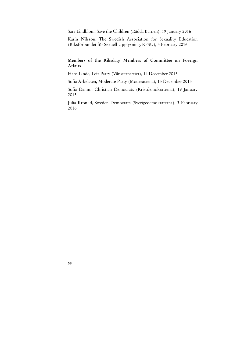Sara Lindblom, Save the Children (Rädda Barnen), 19 January 2016

Karin Nilsson, The Swedish Association for Sexuality Education (Riksförbundet för Sexuell Upplysning, RFSU), 5 February 2016

## **Members of the Riksdag/ Members of Committee on Foreign Affairs**

Hans Linde, Left Party (Vänsterpartiet), 14 December 2015

Sofia Arkelsten, Moderate Party (Moderaterna), 15 December 2015

Sofia Damm, Christian Democrats (Kristdemokraterna), 19 January 2015

Julia Kronlid, Sweden Democrats (Sverigedemokraterna), 3 February 2016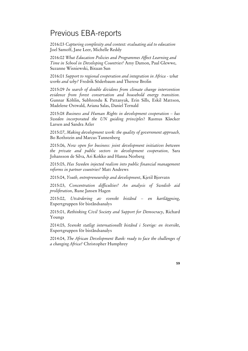# Previous EBA-reports

2016:03 *Capturing complexity and context: evaluating aid to education*  Joel Samoff, Jane Leer, Michelle Reddy

2016:02 *What Education Policies and Programmes Affect Learning and Time in School in Developing Countries?* Amy Damon, Paul Glewwe, Suzanne Wisniewski, Bixuan Sun

2016:01 *Support to regional cooperation and integration in Africa - what works and why?* Fredrik Söderbaum and Therese Brolin

2015:09 *In search of double dividens from climate change intervention evidence from forest conservation and household energy transition.*  Gunnar Köhlin, Subhrendu K Pattanyak, Erin Sills, Eskil Mattson, Madelene Ostwald, Ariana Salas, Daniel Ternald

2015:08 *Business and Human Rights in development cooperation – has Sweden incorporated the UN guiding principles*? Rasmus Kløcker Larsen and Sandra Atler

2015:07, *Making development work: the quality of government approach,* Bo Rothstein and Marcus Tannenberg

2015:06, *Now open for business: joint development initiatives between the private and public sectors in development cooperation,* Sara Johansson de Silva, Ari Kokko and Hanna Norberg

2015:05, *Has Sweden injected realism into public financial management reforms in partner countries?* Matt Andrews

2015:04, *Youth, entrepreneurship and development*, Kjetil Bjorvatn

2015:03, *Concentration difficulties? An analysis of Swedish aid proliferation*, Rune Jansen Hagen

2015:02, *Utvärdering av svenskt bistånd – en kartläggning*, Expertgruppen för biståndsanalys

2015:01, *Rethinking Civil Society and Support for Democracy*, Richard Youngs

2014:05, *Svenskt statligt internationellt bistånd i Sverige: en översikt*, Expertgruppen för biståndsanalys

2014:04, *The African Development Bank: ready to face the challenges of a changing Africa?* Christopher Humphrey